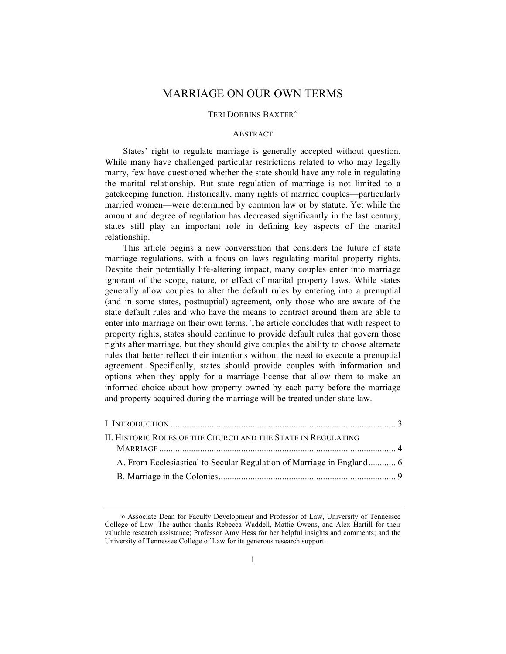# MARRIAGE ON OUR OWN TERMS

## TERI DOBBINS BAXTER<sup>®</sup>

## **ABSTRACT**

States' right to regulate marriage is generally accepted without question. While many have challenged particular restrictions related to who may legally marry, few have questioned whether the state should have any role in regulating the marital relationship. But state regulation of marriage is not limited to a gatekeeping function. Historically, many rights of married couples—particularly married women—were determined by common law or by statute. Yet while the amount and degree of regulation has decreased significantly in the last century, states still play an important role in defining key aspects of the marital relationship.

This article begins a new conversation that considers the future of state marriage regulations, with a focus on laws regulating marital property rights. Despite their potentially life-altering impact, many couples enter into marriage ignorant of the scope, nature, or effect of marital property laws. While states generally allow couples to alter the default rules by entering into a prenuptial (and in some states, postnuptial) agreement, only those who are aware of the state default rules and who have the means to contract around them are able to enter into marriage on their own terms. The article concludes that with respect to property rights, states should continue to provide default rules that govern those rights after marriage, but they should give couples the ability to choose alternate rules that better reflect their intentions without the need to execute a prenuptial agreement. Specifically, states should provide couples with information and options when they apply for a marriage license that allow them to make an informed choice about how property owned by each party before the marriage and property acquired during the marriage will be treated under state law.

| II. HISTORIC ROLES OF THE CHURCH AND THE STATE IN REGULATING |  |
|--------------------------------------------------------------|--|
|                                                              |  |
|                                                              |  |
|                                                              |  |

 $\infty$  Associate Dean for Faculty Development and Professor of Law, University of Tennessee College of Law. The author thanks Rebecca Waddell, Mattie Owens, and Alex Hartill for their valuable research assistance; Professor Amy Hess for her helpful insights and comments; and the University of Tennessee College of Law for its generous research support.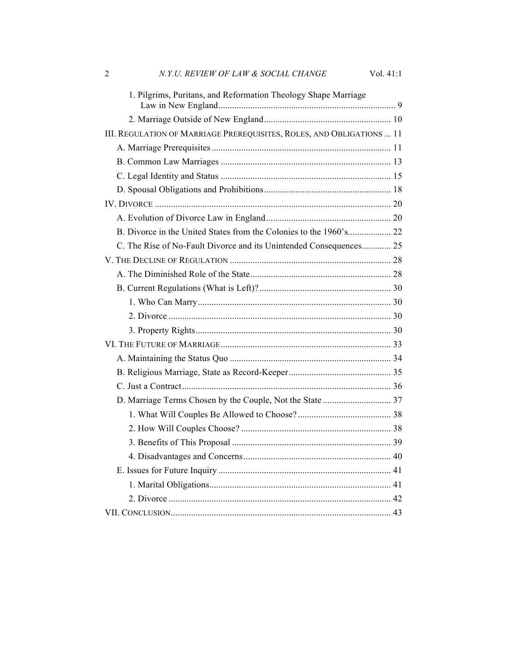| $\overline{2}$ | N.Y.U. REVIEW OF LAW & SOCIAL CHANGE                                  | Vol. 41:1 |
|----------------|-----------------------------------------------------------------------|-----------|
|                | 1. Pilgrims, Puritans, and Reformation Theology Shape Marriage        |           |
|                |                                                                       |           |
|                | III. REGULATION OF MARRIAGE PREREQUISITES, ROLES, AND OBLIGATIONS  11 |           |
|                |                                                                       |           |
|                |                                                                       |           |
|                |                                                                       |           |
|                |                                                                       |           |
|                |                                                                       |           |
|                |                                                                       |           |
|                |                                                                       |           |
|                | C. The Rise of No-Fault Divorce and its Unintended Consequences 25    |           |
|                |                                                                       |           |
|                |                                                                       |           |
|                |                                                                       |           |
|                |                                                                       |           |
|                |                                                                       |           |
|                |                                                                       |           |
|                |                                                                       |           |
|                |                                                                       |           |
|                |                                                                       |           |
|                |                                                                       |           |
|                |                                                                       |           |
|                |                                                                       |           |
|                |                                                                       |           |
|                |                                                                       |           |
|                |                                                                       |           |
|                |                                                                       |           |
|                |                                                                       |           |
|                |                                                                       |           |
|                |                                                                       |           |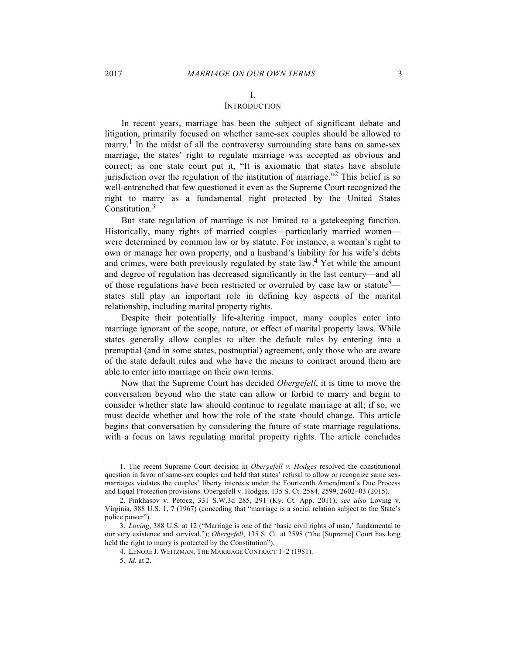# I.

# **INTRODUCTION**

In recent years, marriage has been the subject of significant debate and litigation, primarily focused on whether same-sex couples should be allowed to marry.<sup>1</sup> In the midst of all the controversy surrounding state bans on same-sex marriage, the states' right to regulate marriage was accepted as obvious and correct; as one state court put it, "It is axiomatic that states have absolute jurisdiction over the regulation of the institution of marriage."<sup>2</sup> This belief is so well-entrenched that few questioned it even as the Supreme Court recognized the right to marry as a fundamental right protected by the United States Constitution.<sup>3</sup>

But state regulation of marriage is not limited to a gatekeeping function. Historically, many rights of married couples—particularly married women were determined by common law or by statute. For instance, a woman's right to own or manage her own property, and a husband's liability for his wife's debts and crimes, were both previously regulated by state law.<sup>4</sup> Yet while the amount and degree of regulation has decreased significantly in the last century—and all of those regulations have been restricted or overruled by case law or statute<sup>5</sup> states still play an important role in defining key aspects of the marital relationship, including marital property rights.

Despite their potentially life-altering impact, many couples enter into marriage ignorant of the scope, nature, or effect of marital property laws. While states generally allow couples to alter the default rules by entering into a prenuptial (and in some states, postnuptial) agreement, only those who are aware of the state default rules and who have the means to contract around them are able to enter into marriage on their own terms.

Now that the Supreme Court has decided *Obergefell*, it is time to move the conversation beyond who the state can allow or forbid to marry and begin to consider whether state law should continue to regulate marriage at all; if so, we must decide whether and how the role of the state should change. This article begins that conversation by considering the future of state marriage regulations, with a focus on laws regulating marital property rights. The article concludes

<sup>1.</sup> The recent Supreme Court decision in *Obergefell v. Hodges* resolved the constitutional question in favor of same-sex couples and held that states' refusal to allow or recognize same sexmarriages violates the couples' liberty interests under the Fourteenth Amendment's Due Process and Equal Protection provisions. Obergefell v. Hodges, 135 S. Ct. 2584, 2599, 2602–03 (2015).

<sup>2.</sup> Pinkhasov v. Petocz, 331 S.W.3d 285, 291 (Ky. Ct. App. 2011); *see also* Loving v. Virginia, 388 U.S. 1, 7 (1967) (conceding that "marriage is a social relation subject to the State's police power").

<sup>3.</sup> *Loving*, 388 U.S. at 12 ("Marriage is one of the 'basic civil rights of man,' fundamental to our very existence and survival."); *Obergefell*, 135 S. Ct. at 2598 ("the [Supreme] Court has long held the right to marry is protected by the Constitution").

<sup>4.</sup> LENORE J. WEITZMAN, THE MARRIAGE CONTRACT 1–2 (1981).

<sup>5.</sup> *Id.* at 2.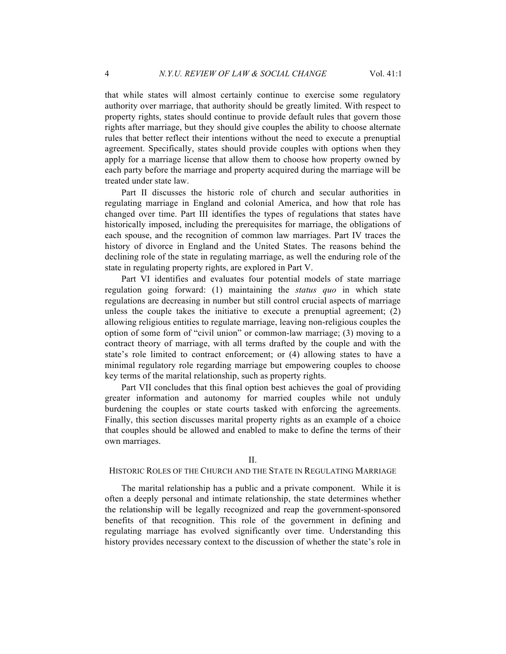that while states will almost certainly continue to exercise some regulatory authority over marriage, that authority should be greatly limited. With respect to property rights, states should continue to provide default rules that govern those rights after marriage, but they should give couples the ability to choose alternate rules that better reflect their intentions without the need to execute a prenuptial agreement. Specifically, states should provide couples with options when they apply for a marriage license that allow them to choose how property owned by each party before the marriage and property acquired during the marriage will be treated under state law.

Part II discusses the historic role of church and secular authorities in regulating marriage in England and colonial America, and how that role has changed over time. Part III identifies the types of regulations that states have historically imposed, including the prerequisites for marriage, the obligations of each spouse, and the recognition of common law marriages. Part IV traces the history of divorce in England and the United States. The reasons behind the declining role of the state in regulating marriage, as well the enduring role of the state in regulating property rights, are explored in Part V.

Part VI identifies and evaluates four potential models of state marriage regulation going forward: (1) maintaining the *status quo* in which state regulations are decreasing in number but still control crucial aspects of marriage unless the couple takes the initiative to execute a prenuptial agreement; (2) allowing religious entities to regulate marriage, leaving non-religious couples the option of some form of "civil union" or common-law marriage; (3) moving to a contract theory of marriage, with all terms drafted by the couple and with the state's role limited to contract enforcement; or (4) allowing states to have a minimal regulatory role regarding marriage but empowering couples to choose key terms of the marital relationship, such as property rights.

Part VII concludes that this final option best achieves the goal of providing greater information and autonomy for married couples while not unduly burdening the couples or state courts tasked with enforcing the agreements. Finally, this section discusses marital property rights as an example of a choice that couples should be allowed and enabled to make to define the terms of their own marriages.

#### II.

#### HISTORIC ROLES OF THE CHURCH AND THE STATE IN REGULATING MARRIAGE

The marital relationship has a public and a private component. While it is often a deeply personal and intimate relationship, the state determines whether the relationship will be legally recognized and reap the government-sponsored benefits of that recognition. This role of the government in defining and regulating marriage has evolved significantly over time. Understanding this history provides necessary context to the discussion of whether the state's role in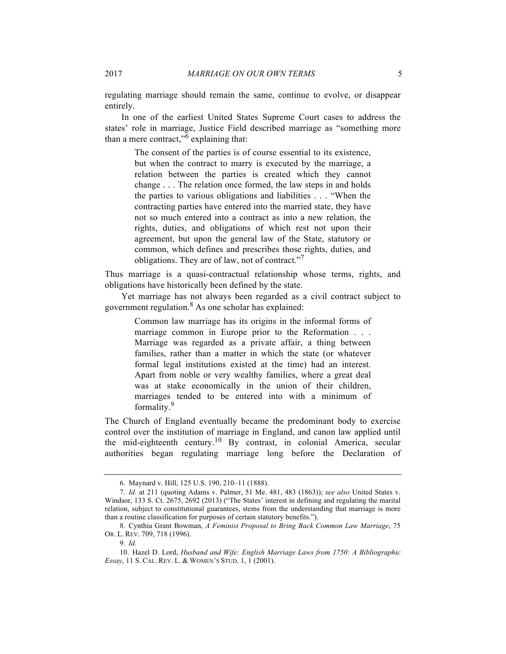regulating marriage should remain the same, continue to evolve, or disappear entirely.

In one of the earliest United States Supreme Court cases to address the states' role in marriage, Justice Field described marriage as "something more than a mere contract," $6$  explaining that:

The consent of the parties is of course essential to its existence, but when the contract to marry is executed by the marriage, a relation between the parties is created which they cannot change . . . The relation once formed, the law steps in and holds the parties to various obligations and liabilities . . . "When the contracting parties have entered into the married state, they have not so much entered into a contract as into a new relation, the rights, duties, and obligations of which rest not upon their agreement, but upon the general law of the State, statutory or common, which defines and prescribes those rights, duties, and obligations. They are of law, not of contract."<sup>7</sup>

Thus marriage is a quasi-contractual relationship whose terms, rights, and obligations have historically been defined by the state.

Yet marriage has not always been regarded as a civil contract subject to government regulation. $8$  As one scholar has explained:

> Common law marriage has its origins in the informal forms of marriage common in Europe prior to the Reformation . . . Marriage was regarded as a private affair, a thing between families, rather than a matter in which the state (or whatever formal legal institutions existed at the time) had an interest. Apart from noble or very wealthy families, where a great deal was at stake economically in the union of their children, marriages tended to be entered into with a minimum of formality.<sup>9</sup>

The Church of England eventually became the predominant body to exercise control over the institution of marriage in England, and canon law applied until the mid-eighteenth century.<sup>10</sup> By contrast, in colonial America, secular authorities began regulating marriage long before the Declaration of

<sup>6.</sup> Maynard v. Hill, 125 U.S. 190, 210–11 (1888).

<sup>7.</sup> *Id.* at 211 (quoting Adams v. Palmer, 51 Me. 481, 483 (1863)); *see also* United States v. Windsor, 133 S. Ct. 2675, 2692 (2013) ("The States' interest in defining and regulating the marital relation, subject to constitutional guarantees, stems from the understanding that marriage is more than a routine classification for purposes of certain statutory benefits.").

<sup>8.</sup> Cynthia Grant Bowman, *A Feminist Proposal to Bring Back Common Law Marriage*, 75 OR. L. REV. 709, 718 (1996).

<sup>9.</sup> *Id.* 

<sup>10.</sup> Hazel D. Lord, *Husband and Wife: English Marriage Laws from 1750: A Bibliographic Essay*, 11 S. CAL. REV. L. & WOMEN'S STUD. 1, 1 (2001).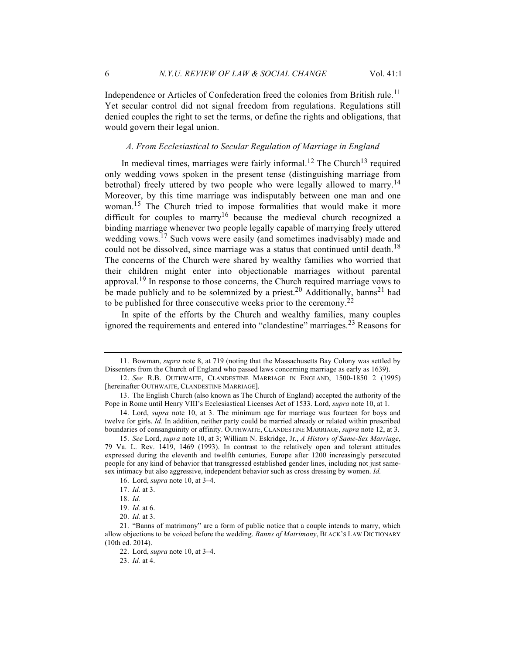Independence or Articles of Confederation freed the colonies from British rule.<sup>11</sup> Yet secular control did not signal freedom from regulations. Regulations still denied couples the right to set the terms, or define the rights and obligations, that would govern their legal union.

## *A. From Ecclesiastical to Secular Regulation of Marriage in England*

In medieval times, marriages were fairly informal.<sup>12</sup> The Church<sup>13</sup> required only wedding vows spoken in the present tense (distinguishing marriage from betrothal) freely uttered by two people who were legally allowed to marry.<sup>14</sup> Moreover, by this time marriage was indisputably between one man and one woman.15 The Church tried to impose formalities that would make it more difficult for couples to marry<sup>16</sup> because the medieval church recognized a binding marriage whenever two people legally capable of marrying freely uttered wedding vows.<sup>17</sup> Such vows were easily (and sometimes inadvisably) made and could not be dissolved, since marriage was a status that continued until death.<sup>18</sup> The concerns of the Church were shared by wealthy families who worried that their children might enter into objectionable marriages without parental approval.<sup>19</sup> In response to those concerns, the Church required marriage vows to be made publicly and to be solemnized by a priest.<sup>20</sup> Additionally, banns<sup>21</sup> had to be published for three consecutive weeks prior to the ceremony.<sup>22</sup>

In spite of the efforts by the Church and wealthy families, many couples ignored the requirements and entered into "clandestine" marriages.<sup>23</sup> Reasons for

23. *Id.* at 4.

<sup>11.</sup> Bowman, *supra* note 8, at 719 (noting that the Massachusetts Bay Colony was settled by Dissenters from the Church of England who passed laws concerning marriage as early as 1639).

<sup>12.</sup> *See* R.B. OUTHWAITE, CLANDESTINE MARRIAGE IN ENGLAND, 1500-1850 2 (1995) [hereinafter OUTHWAITE, CLANDESTINE MARRIAGE].

<sup>13.</sup> The English Church (also known as The Church of England) accepted the authority of the Pope in Rome until Henry VIII's Ecclesiastical Licenses Act of 1533. Lord, *supra* note 10, at 1.

<sup>14.</sup> Lord, *supra* note 10, at 3. The minimum age for marriage was fourteen for boys and twelve for girls. *Id.* In addition, neither party could be married already or related within prescribed boundaries of consanguinity or affinity. OUTHWAITE, CLANDESTINE MARRIAGE, *supra* note 12, at 3.

<sup>15.</sup> *See* Lord, *supra* note 10, at 3; William N. Eskridge, Jr., *A History of Same-Sex Marriage*, 79 Va. L. Rev. 1419, 1469 (1993). In contrast to the relatively open and tolerant attitudes expressed during the eleventh and twelfth centuries, Europe after 1200 increasingly persecuted people for any kind of behavior that transgressed established gender lines, including not just samesex intimacy but also aggressive, independent behavior such as cross dressing by women. *Id.*

<sup>16.</sup> Lord, *supra* note 10, at 3–4.

<sup>17.</sup> *Id.* at 3.

<sup>18.</sup> *Id.*

<sup>19.</sup> *Id.* at 6.

<sup>20.</sup> *Id.* at 3.

<sup>21.</sup> "Banns of matrimony" are a form of public notice that a couple intends to marry, which allow objections to be voiced before the wedding. *Banns of Matrimony*, BLACK'S LAW DICTIONARY (10th ed. 2014).

<sup>22.</sup> Lord, *supra* note 10, at 3–4.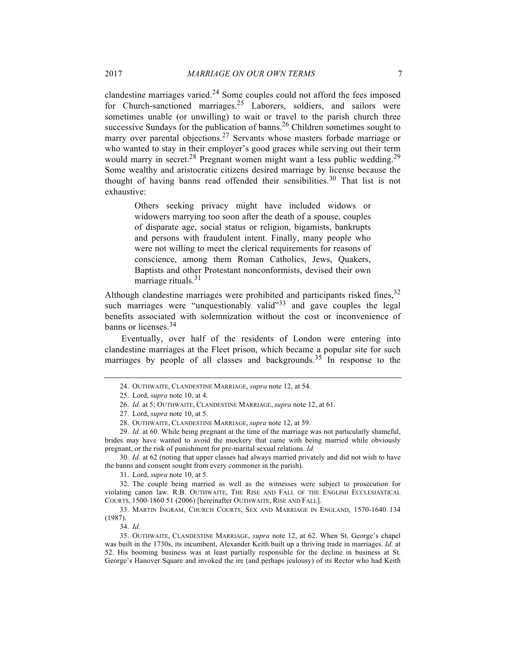clandestine marriages varied. $24$  Some couples could not afford the fees imposed for Church-sanctioned marriages.<sup>25</sup> Laborers, soldiers, and sailors were sometimes unable (or unwilling) to wait or travel to the parish church three successive Sundays for the publication of banns.<sup>26</sup> Children sometimes sought to marry over parental objections.<sup>27</sup> Servants whose masters forbade marriage or who wanted to stay in their employer's good graces while serving out their term would marry in secret.<sup>28</sup> Pregnant women might want a less public wedding.<sup>29</sup> Some wealthy and aristocratic citizens desired marriage by license because the thought of having banns read offended their sensibilities.<sup>30</sup> That list is not exhaustive:

> Others seeking privacy might have included widows or widowers marrying too soon after the death of a spouse, couples of disparate age, social status or religion, bigamists, bankrupts and persons with fraudulent intent. Finally, many people who were not willing to meet the clerical requirements for reasons of conscience, among them Roman Catholics, Jews, Quakers, Baptists and other Protestant nonconformists, devised their own marriage rituals. $31$

Although clandestine marriages were prohibited and participants risked fines,  $32$ such marriages were "unquestionably valid"<sup>33</sup> and gave couples the legal benefits associated with solemnization without the cost or inconvenience of banns or licenses.<sup>34</sup>

Eventually, over half of the residents of London were entering into clandestine marriages at the Fleet prison, which became a popular site for such marriages by people of all classes and backgrounds.<sup>35</sup> In response to the

29. *Id.* at 60. While being pregnant at the time of the marriage was not particularly shameful, brides may have wanted to avoid the mockery that came with being married while obviously pregnant, or the risk of punishment for pre-marital sexual relations. *Id.*

30. *Id.* at 62 (noting that upper classes had always married privately and did not wish to have the banns and consent sought from every commoner in the parish).

31. Lord, *supra* note 10, at 5.

32. The couple being married as well as the witnesses were subject to prosecution for violating canon law. R.B. OUTHWAITE, THE RISE AND FALL OF THE ENGLISH ECCLESIASTICAL COURTS, 1500-1860 51 (2006) [hereinafter OUTHWAITE, RISE AND FALL].

33. MARTIN INGRAM, CHURCH COURTS, SEX AND MARRIAGE IN ENGLAND, 1570-1640 134 (1987).

34. *Id.*

35. OUTHWAITE, CLANDESTINE MARRIAGE, *supra* note 12, at 62. When St. George's chapel was built in the 1730s, its incumbent, Alexander Keith built up a thriving trade in marriages. *Id.* at 52. His booming business was at least partially responsible for the decline in business at St. George's Hanover Square and invoked the ire (and perhaps jealousy) of its Rector who had Keith

<sup>24.</sup> OUTHWAITE, CLANDESTINE MARRIAGE, *supra* note 12, at 54.

<sup>25.</sup> Lord, *supra* note 10, at 4.

<sup>26.</sup> *Id.* at 5; OUTHWAITE, CLANDESTINE MARRIAGE, *supra* note 12, at 61.

<sup>27.</sup> Lord, *supra* note 10, at 5.

<sup>28.</sup> OUTHWAITE, CLANDESTINE MARRIAGE, *supra* note 12, at 59.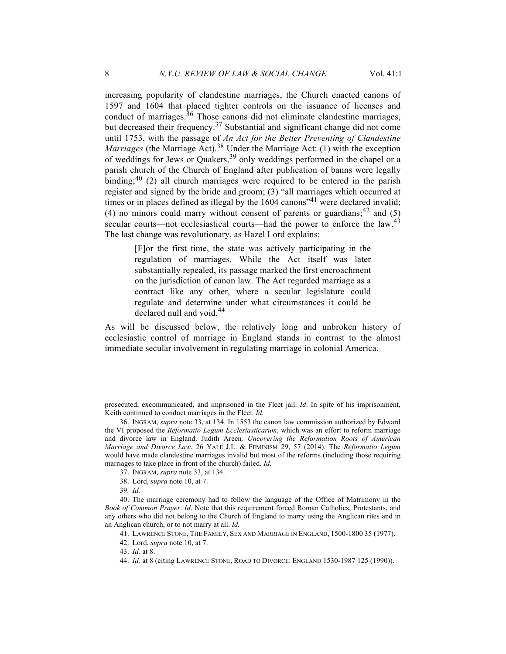increasing popularity of clandestine marriages, the Church enacted canons of 1597 and 1604 that placed tighter controls on the issuance of licenses and conduct of marriages.<sup>36</sup> Those canons did not eliminate clandestine marriages, but decreased their frequency.<sup>37</sup> Substantial and significant change did not come until 1753, with the passage of *An Act for the Better Preventing of Clandestine Marriages* (the Marriage Act).<sup>38</sup> Under the Marriage Act: (1) with the exception of weddings for Jews or Quakers,<sup>39</sup> only weddings performed in the chapel or a parish church of the Church of England after publication of banns were legally binding;<sup>40</sup> (2) all church marriages were required to be entered in the parish register and signed by the bride and groom; (3) "all marriages which occurred at times or in places defined as illegal by the  $1604$  canons<sup> $241$ </sup> were declared invalid; (4) no minors could marry without consent of parents or guardians;  $42$  and (5) secular courts—not ecclesiastical courts—had the power to enforce the law.<sup>43</sup> The last change was revolutionary, as Hazel Lord explains:

> [F]or the first time, the state was actively participating in the regulation of marriages. While the Act itself was later substantially repealed, its passage marked the first encroachment on the jurisdiction of canon law. The Act regarded marriage as a contract like any other, where a secular legislature could regulate and determine under what circumstances it could be declared null and void.<sup>44</sup>

As will be discussed below, the relatively long and unbroken history of ecclesiastic control of marriage in England stands in contrast to the almost immediate secular involvement in regulating marriage in colonial America.

prosecuted, excommunicated, and imprisoned in the Fleet jail. *Id*. In spite of his imprisonment, Keith continued to conduct marriages in the Fleet. *Id.*

<sup>36.</sup> INGRAM, *supra* note 33, at 134. In 1553 the canon law commission authorized by Edward the VI proposed the *Reformatio Legum Ecclesiasticarum*, which was an effort to reform marriage and divorce law in England. Judith Areen*, Uncovering the Reformation Roots of American Marriage and Divorce Law*, 26 YALE J.L. & FEMINISM 29, 57 (2014). The *Reformatio Legum* would have made clandestine marriages invalid but most of the reforms (including those requiring marriages to take place in front of the church) failed. *Id.*

<sup>37.</sup> INGRAM, *supra* note 33, at 134.

<sup>38.</sup> Lord, *supra* note 10, at 7.

<sup>39</sup>*. Id.*

<sup>40.</sup> The marriage ceremony had to follow the language of the Office of Matrimony in the *Book of Common Prayer*. *Id*. Note that this requirement forced Roman Catholics, Protestants, and any others who did not belong to the Church of England to marry using the Anglican rites and in an Anglican church, or to not marry at all. *Id.*

<sup>41.</sup> LAWRENCE STONE, THE FAMILY, SEX AND MARRIAGE IN ENGLAND, 1500-1800 35 (1977).

<sup>42.</sup> Lord, *supra* note 10, at 7.

<sup>43.</sup> *Id.* at 8.

<sup>44.</sup> *Id.* at 8 (citing LAWRENCE STONE, ROAD TO DIVORCE: ENGLAND 1530-1987 125 (1990)).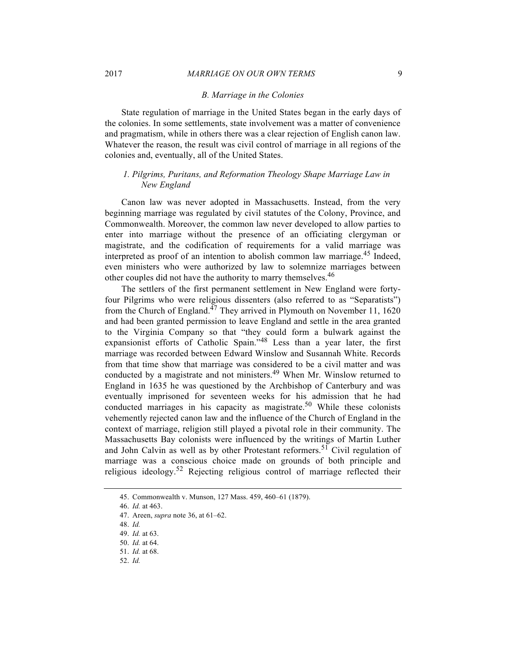#### *B. Marriage in the Colonies*

State regulation of marriage in the United States began in the early days of the colonies. In some settlements, state involvement was a matter of convenience and pragmatism, while in others there was a clear rejection of English canon law. Whatever the reason, the result was civil control of marriage in all regions of the colonies and, eventually, all of the United States.

## *1. Pilgrims, Puritans, and Reformation Theology Shape Marriage Law in New England*

Canon law was never adopted in Massachusetts. Instead, from the very beginning marriage was regulated by civil statutes of the Colony, Province, and Commonwealth. Moreover, the common law never developed to allow parties to enter into marriage without the presence of an officiating clergyman or magistrate, and the codification of requirements for a valid marriage was interpreted as proof of an intention to abolish common law marriage.<sup>45</sup> Indeed, even ministers who were authorized by law to solemnize marriages between other couples did not have the authority to marry themselves.<sup>46</sup>

The settlers of the first permanent settlement in New England were fortyfour Pilgrims who were religious dissenters (also referred to as "Separatists") from the Church of England.<sup> $47$ </sup> They arrived in Plymouth on November 11, 1620 and had been granted permission to leave England and settle in the area granted to the Virginia Company so that "they could form a bulwark against the expansionist efforts of Catholic Spain."<sup>48</sup> Less than a year later, the first marriage was recorded between Edward Winslow and Susannah White. Records from that time show that marriage was considered to be a civil matter and was conducted by a magistrate and not ministers.<sup>49</sup> When Mr. Winslow returned to England in 1635 he was questioned by the Archbishop of Canterbury and was eventually imprisoned for seventeen weeks for his admission that he had conducted marriages in his capacity as magistrate.<sup>50</sup> While these colonists vehemently rejected canon law and the influence of the Church of England in the context of marriage, religion still played a pivotal role in their community. The Massachusetts Bay colonists were influenced by the writings of Martin Luther and John Calvin as well as by other Protestant reformers.<sup>51</sup> Civil regulation of marriage was a conscious choice made on grounds of both principle and religious ideology.<sup>52</sup> Rejecting religious control of marriage reflected their

52. *Id.*

<sup>45.</sup> Commonwealth v. Munson, 127 Mass. 459, 460–61 (1879).

<sup>46.</sup> *Id.* at 463.

<sup>47.</sup> Areen, *supra* note 36, at 61–62.

<sup>48.</sup> *Id.*

<sup>49.</sup> *Id.* at 63.

<sup>50.</sup> *Id.* at 64.

<sup>51.</sup> *Id.* at 68.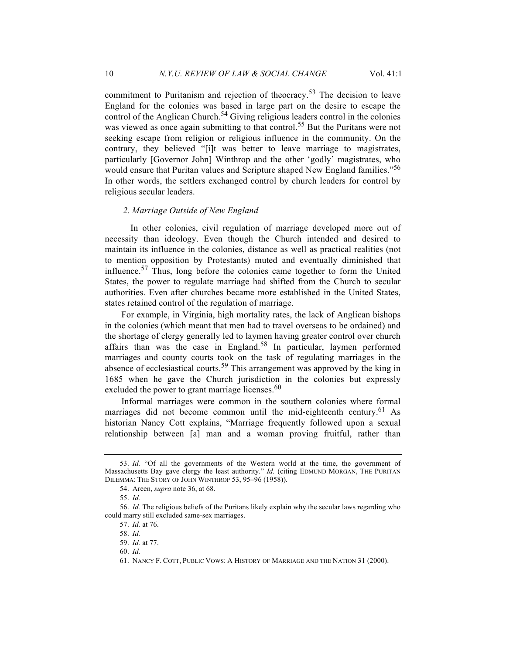commitment to Puritanism and rejection of theocracy.<sup>53</sup> The decision to leave England for the colonies was based in large part on the desire to escape the control of the Anglican Church.<sup>54</sup> Giving religious leaders control in the colonies was viewed as once again submitting to that control.<sup>55</sup> But the Puritans were not seeking escape from religion or religious influence in the community. On the contrary, they believed "[i]t was better to leave marriage to magistrates, particularly [Governor John] Winthrop and the other 'godly' magistrates, who would ensure that Puritan values and Scripture shaped New England families."<sup>56</sup> In other words, the settlers exchanged control by church leaders for control by religious secular leaders.

#### *2. Marriage Outside of New England*

In other colonies, civil regulation of marriage developed more out of necessity than ideology. Even though the Church intended and desired to maintain its influence in the colonies, distance as well as practical realities (not to mention opposition by Protestants) muted and eventually diminished that influence.<sup>57</sup> Thus, long before the colonies came together to form the United States, the power to regulate marriage had shifted from the Church to secular authorities. Even after churches became more established in the United States, states retained control of the regulation of marriage.

For example, in Virginia, high mortality rates, the lack of Anglican bishops in the colonies (which meant that men had to travel overseas to be ordained) and the shortage of clergy generally led to laymen having greater control over church affairs than was the case in England.<sup>58</sup> In particular, laymen performed marriages and county courts took on the task of regulating marriages in the absence of ecclesiastical courts.<sup>59</sup> This arrangement was approved by the king in 1685 when he gave the Church jurisdiction in the colonies but expressly excluded the power to grant marriage licenses.<sup>60</sup>

Informal marriages were common in the southern colonies where formal marriages did not become common until the mid-eighteenth century.<sup>61</sup> As historian Nancy Cott explains, "Marriage frequently followed upon a sexual relationship between [a] man and a woman proving fruitful, rather than

<sup>53.</sup> *Id.* "Of all the governments of the Western world at the time, the government of Massachusetts Bay gave clergy the least authority." *Id.* (citing EDMUND MORGAN, THE PURITAN DILEMMA: THE STORY OF JOHN WINTHROP 53, 95–96 (1958)).

<sup>54.</sup> Areen, *supra* note 36, at 68.

<sup>55.</sup> *Id.*

<sup>56.</sup> *Id.* The religious beliefs of the Puritans likely explain why the secular laws regarding who could marry still excluded same-sex marriages.

<sup>57.</sup> *Id.* at 76.

<sup>58.</sup> *Id.*

<sup>59.</sup> *Id.* at 77.

<sup>60.</sup> *Id.*

<sup>61.</sup> NANCY F. COTT, PUBLIC VOWS: A HISTORY OF MARRIAGE AND THE NATION 31 (2000).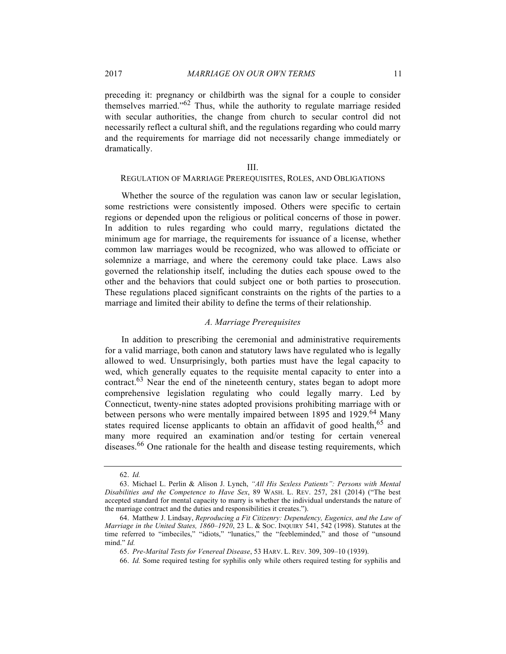preceding it: pregnancy or childbirth was the signal for a couple to consider themselves married." $62$  Thus, while the authority to regulate marriage resided with secular authorities, the change from church to secular control did not necessarily reflect a cultural shift, and the regulations regarding who could marry and the requirements for marriage did not necessarily change immediately or dramatically.

#### III.

## REGULATION OF MARRIAGE PREREQUISITES, ROLES, AND OBLIGATIONS

Whether the source of the regulation was canon law or secular legislation, some restrictions were consistently imposed. Others were specific to certain regions or depended upon the religious or political concerns of those in power. In addition to rules regarding who could marry, regulations dictated the minimum age for marriage, the requirements for issuance of a license, whether common law marriages would be recognized, who was allowed to officiate or solemnize a marriage, and where the ceremony could take place. Laws also governed the relationship itself, including the duties each spouse owed to the other and the behaviors that could subject one or both parties to prosecution. These regulations placed significant constraints on the rights of the parties to a marriage and limited their ability to define the terms of their relationship.

## *A. Marriage Prerequisites*

In addition to prescribing the ceremonial and administrative requirements for a valid marriage, both canon and statutory laws have regulated who is legally allowed to wed. Unsurprisingly, both parties must have the legal capacity to wed, which generally equates to the requisite mental capacity to enter into a contract. $63$  Near the end of the nineteenth century, states began to adopt more comprehensive legislation regulating who could legally marry. Led by Connecticut, twenty-nine states adopted provisions prohibiting marriage with or between persons who were mentally impaired between 1895 and 1929.<sup>64</sup> Many states required license applicants to obtain an affidavit of good health,<sup>65</sup> and many more required an examination and/or testing for certain venereal diseases.<sup>66</sup> One rationale for the health and disease testing requirements, which

65. *Pre-Marital Tests for Venereal Disease*, 53 HARV. L. REV. 309, 309–10 (1939).

66. *Id.* Some required testing for syphilis only while others required testing for syphilis and

<sup>62.</sup> *Id.*

<sup>63.</sup> Michael L. Perlin & Alison J. Lynch, *"All His Sexless Patients": Persons with Mental Disabilities and the Competence to Have Sex*, 89 WASH. L. REV. 257, 281 (2014) ("The best accepted standard for mental capacity to marry is whether the individual understands the nature of the marriage contract and the duties and responsibilities it creates.").

<sup>64.</sup> Matthew J. Lindsay, *Reproducing a Fit Citizenry: Dependency, Eugenics, and the Law of Marriage in the United States, 1860–1920*, 23 L. & SOC. INQUIRY 541, 542 (1998). Statutes at the time referred to "imbeciles," "idiots," "lunatics," the "feebleminded," and those of "unsound mind." *Id.*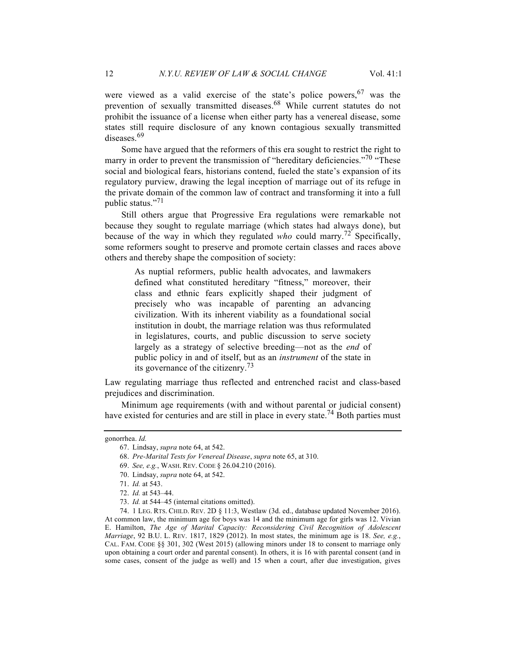were viewed as a valid exercise of the state's police powers,  $67$  was the prevention of sexually transmitted diseases.<sup>68</sup> While current statutes do not prohibit the issuance of a license when either party has a venereal disease, some states still require disclosure of any known contagious sexually transmitted diseases.<sup>69</sup>

Some have argued that the reformers of this era sought to restrict the right to marry in order to prevent the transmission of "hereditary deficiencies."<sup>70</sup> "These social and biological fears, historians contend, fueled the state's expansion of its regulatory purview, drawing the legal inception of marriage out of its refuge in the private domain of the common law of contract and transforming it into a full public status."<sup>71</sup>

Still others argue that Progressive Era regulations were remarkable not because they sought to regulate marriage (which states had always done), but because of the way in which they regulated *who* could marry.<sup>72</sup> Specifically, some reformers sought to preserve and promote certain classes and races above others and thereby shape the composition of society:

> As nuptial reformers, public health advocates, and lawmakers defined what constituted hereditary "fitness," moreover, their class and ethnic fears explicitly shaped their judgment of precisely who was incapable of parenting an advancing civilization. With its inherent viability as a foundational social institution in doubt, the marriage relation was thus reformulated in legislatures, courts, and public discussion to serve society largely as a strategy of selective breeding—not as the *end* of public policy in and of itself, but as an *instrument* of the state in its governance of the citizenry.73

Law regulating marriage thus reflected and entrenched racist and class-based prejudices and discrimination.

Minimum age requirements (with and without parental or judicial consent) have existed for centuries and are still in place in every state.<sup>74</sup> Both parties must

74. 1 LEG. RTS. CHILD. REV. 2D § 11:3, Westlaw (3d. ed., database updated November 2016). At common law, the minimum age for boys was 14 and the minimum age for girls was 12. Vivian E. Hamilton, *The Age of Marital Capacity: Reconsidering Civil Recognition of Adolescent Marriage*, 92 B.U. L. REV. 1817, 1829 (2012). In most states, the minimum age is 18. *See, e.g.*, CAL. FAM. CODE §§ 301, 302 (West 2015) (allowing minors under 18 to consent to marriage only upon obtaining a court order and parental consent). In others, it is 16 with parental consent (and in some cases, consent of the judge as well) and 15 when a court, after due investigation, gives

gonorrhea. *Id.*

<sup>67.</sup> Lindsay, *supra* note 64, at 542.

<sup>68.</sup> *Pre-Marital Tests for Venereal Disease*, *supra* note 65, at 310.

<sup>69.</sup> *See, e.g.*, WASH. REV. CODE § 26.04.210 (2016).

<sup>70.</sup> Lindsay, *supra* note 64, at 542.

<sup>71.</sup> *Id.* at 543.

<sup>72.</sup> *Id.* at 543–44.

<sup>73.</sup> *Id.* at 544–45 (internal citations omitted).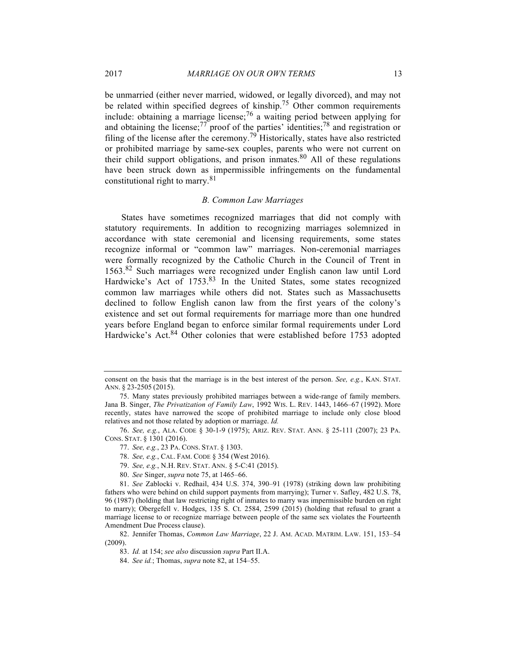be unmarried (either never married, widowed, or legally divorced), and may not be related within specified degrees of kinship.<sup>75</sup> Other common requirements include: obtaining a marriage license;  $\frac{76}{9}$  a waiting period between applying for and obtaining the license; $\frac{77}{ }$  proof of the parties' identities; $\frac{78}{ }$  and registration or filing of the license after the ceremony.79 Historically, states have also restricted or prohibited marriage by same-sex couples, parents who were not current on their child support obligations, and prison inmates. $80$  All of these regulations have been struck down as impermissible infringements on the fundamental constitutional right to marry.<sup>81</sup>

#### *B. Common Law Marriages*

States have sometimes recognized marriages that did not comply with statutory requirements. In addition to recognizing marriages solemnized in accordance with state ceremonial and licensing requirements, some states recognize informal or "common law" marriages. Non-ceremonial marriages were formally recognized by the Catholic Church in the Council of Trent in 1563.<sup>82</sup> Such marriages were recognized under English canon law until Lord Hardwicke's Act of 1753.<sup>83</sup> In the United States, some states recognized common law marriages while others did not. States such as Massachusetts declined to follow English canon law from the first years of the colony's existence and set out formal requirements for marriage more than one hundred years before England began to enforce similar formal requirements under Lord Hardwicke's Act.<sup>84</sup> Other colonies that were established before 1753 adopted

consent on the basis that the marriage is in the best interest of the person. *See, e.g.*, KAN. STAT. ANN. § 23-2505 (2015).

<sup>75.</sup> Many states previously prohibited marriages between a wide-range of family members. Jana B. Singer, *The Privatization of Family Law*, 1992 WIS. L. REV. 1443, 1466–67 (1992). More recently, states have narrowed the scope of prohibited marriage to include only close blood relatives and not those related by adoption or marriage. *Id.*

<sup>76.</sup> *See, e.g.*, ALA. CODE § 30-1-9 (1975); ARIZ. REV. STAT. ANN. § 25-111 (2007); 23 PA. CONS. STAT. § 1301 (2016).

<sup>77.</sup> *See, e.g.*, 23 PA. CONS. STAT. § 1303.

<sup>78.</sup> *See, e.g.*, CAL. FAM. CODE § 354 (West 2016).

<sup>79.</sup> *See, e.g.*, N.H. REV. STAT. ANN. § 5-C:41 (2015).

<sup>80.</sup> *See* Singer, *supra* note 75, at 1465–66.

<sup>81.</sup> *See* Zablocki v. Redhail, 434 U.S. 374, 390–91 (1978) (striking down law prohibiting fathers who were behind on child support payments from marrying); Turner v. Safley, 482 U.S. 78, 96 (1987) (holding that law restricting right of inmates to marry was impermissible burden on right to marry); Obergefell v. Hodges, 135 S. Ct. 2584, 2599 (2015) (holding that refusal to grant a marriage license to or recognize marriage between people of the same sex violates the Fourteenth Amendment Due Process clause).

<sup>82.</sup> Jennifer Thomas, *Common Law Marriage*, 22 J. AM. ACAD. MATRIM. LAW. 151, 153–54 (2009).

<sup>83.</sup> *Id.* at 154; *see also* discussion *supra* Part II.A.

<sup>84.</sup> *See id.*; Thomas, *supra* note 82, at 154–55.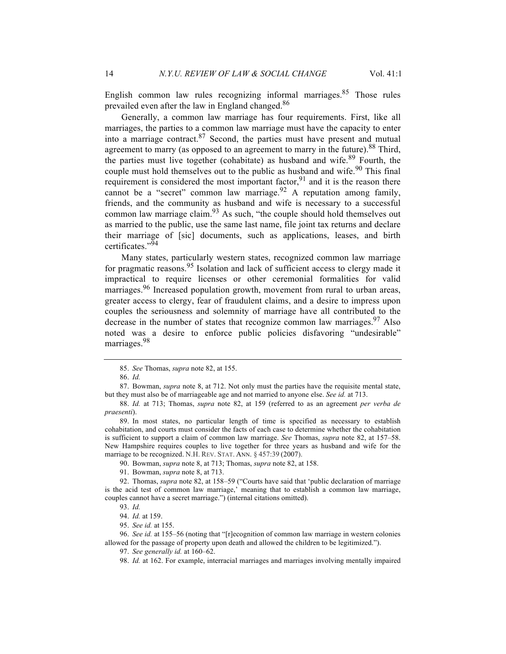English common law rules recognizing informal marriages. $85$  Those rules prevailed even after the law in England changed.<sup>86</sup>

Generally, a common law marriage has four requirements. First, like all marriages, the parties to a common law marriage must have the capacity to enter into a marriage contract. $87$  Second, the parties must have present and mutual agreement to marry (as opposed to an agreement to marry in the future).<sup>88</sup> Third, the parties must live together (cohabitate) as husband and wife.<sup>89</sup> Fourth, the couple must hold themselves out to the public as husband and wife.<sup>90</sup> This final requirement is considered the most important factor,  $91$  and it is the reason there cannot be a "secret" common law marriage.<sup>92</sup> A reputation among family, friends, and the community as husband and wife is necessary to a successful common law marriage claim.<sup>93</sup> As such, "the couple should hold themselves out as married to the public, use the same last name, file joint tax returns and declare their marriage of [sic] documents, such as applications, leases, and birth certificates."<sup>94</sup>

Many states, particularly western states, recognized common law marriage for pragmatic reasons.<sup>95</sup> Isolation and lack of sufficient access to clergy made it impractical to require licenses or other ceremonial formalities for valid marriages.<sup>96</sup> Increased population growth, movement from rural to urban areas, greater access to clergy, fear of fraudulent claims, and a desire to impress upon couples the seriousness and solemnity of marriage have all contributed to the decrease in the number of states that recognize common law marriages.<sup>97</sup> Also noted was a desire to enforce public policies disfavoring "undesirable" marriages.<sup>98</sup>

87. Bowman, *supra* note 8, at 712. Not only must the parties have the requisite mental state, but they must also be of marriageable age and not married to anyone else. *See id.* at 713.

90. Bowman, *supra* note 8, at 713; Thomas, *supra* note 82, at 158.

95. *See id.* at 155.

<sup>85.</sup> *See* Thomas, *supra* note 82, at 155.

<sup>86.</sup> *Id.*

<sup>88.</sup> *Id.* at 713; Thomas, *supra* note 82, at 159 (referred to as an agreement *per verba de praesenti*).

<sup>89.</sup> In most states, no particular length of time is specified as necessary to establish cohabitation, and courts must consider the facts of each case to determine whether the cohabitation is sufficient to support a claim of common law marriage. *See* Thomas, *supra* note 82, at 157–58. New Hampshire requires couples to live together for three years as husband and wife for the marriage to be recognized. N.H. REV. STAT. ANN. § 457:39 (2007).

<sup>91.</sup> Bowman, *supra* note 8, at 713.

<sup>92.</sup> Thomas, *supra* note 82, at 158–59 ("Courts have said that 'public declaration of marriage is the acid test of common law marriage,' meaning that to establish a common law marriage, couples cannot have a secret marriage.") (internal citations omitted).

<sup>93.</sup> *Id.*

<sup>94.</sup> *Id.* at 159.

<sup>96.</sup> *See id.* at 155–56 (noting that "[r]ecognition of common law marriage in western colonies allowed for the passage of property upon death and allowed the children to be legitimized.").

<sup>97.</sup> *See generally id.* at 160–62.

<sup>98.</sup> *Id.* at 162. For example, interracial marriages and marriages involving mentally impaired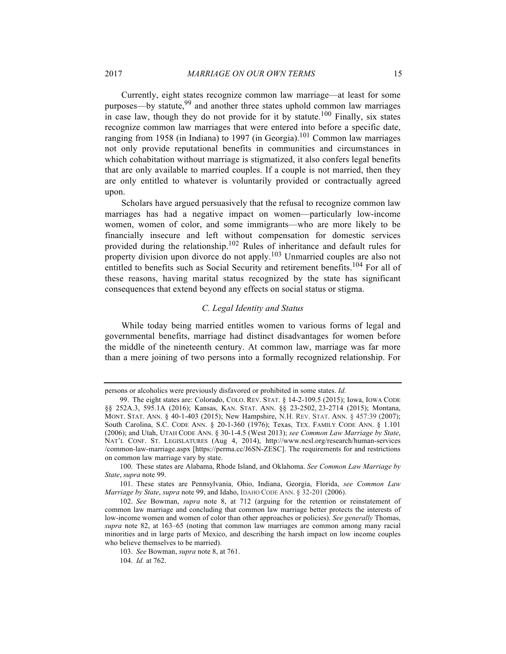Currently, eight states recognize common law marriage—at least for some purposes—by statute,  $99$  and another three states uphold common law marriages in case law, though they do not provide for it by statute.<sup>100</sup> Finally, six states recognize common law marriages that were entered into before a specific date, ranging from 1958 (in Indiana) to 1997 (in Georgia).<sup>101</sup> Common law marriages not only provide reputational benefits in communities and circumstances in which cohabitation without marriage is stigmatized, it also confers legal benefits that are only available to married couples. If a couple is not married, then they are only entitled to whatever is voluntarily provided or contractually agreed upon.

Scholars have argued persuasively that the refusal to recognize common law marriages has had a negative impact on women—particularly low-income women, women of color, and some immigrants—who are more likely to be financially insecure and left without compensation for domestic services provided during the relationship.102 Rules of inheritance and default rules for property division upon divorce do not apply.<sup>103</sup> Unmarried couples are also not entitled to benefits such as Social Security and retirement benefits.<sup>104</sup> For all of these reasons, having marital status recognized by the state has significant consequences that extend beyond any effects on social status or stigma.

#### *C. Legal Identity and Status*

While today being married entitles women to various forms of legal and governmental benefits, marriage had distinct disadvantages for women before the middle of the nineteenth century. At common law, marriage was far more than a mere joining of two persons into a formally recognized relationship. For

persons or alcoholics were previously disfavored or prohibited in some states. *Id.*

<sup>99.</sup> The eight states are: Colorado, COLO. REV. STAT. § 14-2-109.5 (2015); Iowa, IOWA CODE §§ 252A.3, 595.1A (2016); Kansas, KAN. STAT. ANN. §§ 23-2502, 23-2714 (2015); Montana, MONT. STAT. ANN. § 40-1-403 (2015); New Hampshire, N.H. REV. STAT. ANN. § 457:39 (2007); South Carolina, S.C. CODE ANN. § 20-1-360 (1976); Texas, TEX. FAMILY CODE ANN. § 1.101 (2006); and Utah, UTAH CODE ANN. § 30-1-4.5 (West 2013); *see Common Law Marriage by State*, NAT'L CONF. ST. LEGISLATURES (Aug 4, 2014), http://www.ncsl.org/research/human-services /common-law-marriage.aspx [https://perma.cc/J6SN-ZESC]. The requirements for and restrictions on common law marriage vary by state.

<sup>100.</sup> These states are Alabama, Rhode Island, and Oklahoma. *See Common Law Marriage by State*, *supra* note 99.

<sup>101.</sup> These states are Pennsylvania, Ohio, Indiana, Georgia, Florida, *see Common Law Marriage by State*, *supra* note 99, and Idaho, IDAHO CODE ANN. § 32-201 (2006).

<sup>102.</sup> *See* Bowman, *supra* note 8, at 712 (arguing for the retention or reinstatement of common law marriage and concluding that common law marriage better protects the interests of low-income women and women of color than other approaches or policies). *See generally* Thomas, *supra* note 82, at 163–65 (noting that common law marriages are common among many racial minorities and in large parts of Mexico, and describing the harsh impact on low income couples who believe themselves to be married).

<sup>103.</sup> *See* Bowman, *supra* note 8, at 761.

<sup>104.</sup> *Id.* at 762.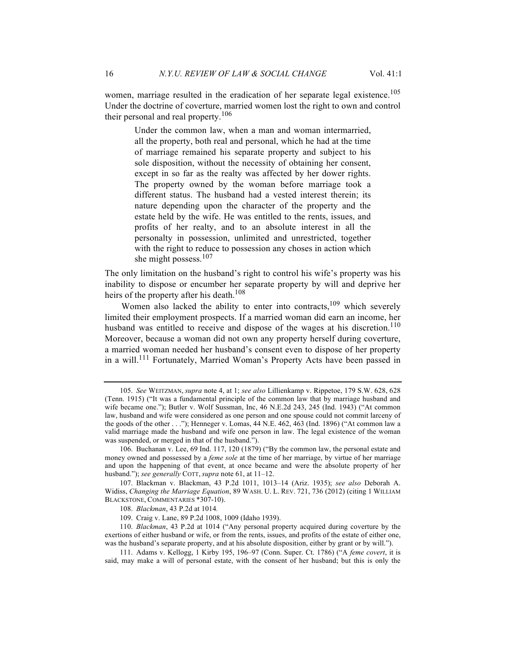women, marriage resulted in the eradication of her separate legal existence.<sup>105</sup> Under the doctrine of coverture, married women lost the right to own and control their personal and real property.<sup>106</sup>

> Under the common law, when a man and woman intermarried, all the property, both real and personal, which he had at the time of marriage remained his separate property and subject to his sole disposition, without the necessity of obtaining her consent, except in so far as the realty was affected by her dower rights. The property owned by the woman before marriage took a different status. The husband had a vested interest therein; its nature depending upon the character of the property and the estate held by the wife. He was entitled to the rents, issues, and profits of her realty, and to an absolute interest in all the personalty in possession, unlimited and unrestricted, together with the right to reduce to possession any choses in action which she might possess. $107$

The only limitation on the husband's right to control his wife's property was his inability to dispose or encumber her separate property by will and deprive her heirs of the property after his death.<sup>108</sup>

Women also lacked the ability to enter into contracts,  $109$  which severely limited their employment prospects. If a married woman did earn an income, her husband was entitled to receive and dispose of the wages at his discretion.<sup>110</sup> Moreover, because a woman did not own any property herself during coverture, a married woman needed her husband's consent even to dispose of her property in a will.<sup>111</sup> Fortunately, Married Woman's Property Acts have been passed in

<sup>105.</sup> *See* WEITZMAN, *supra* note 4, at 1; *see also* Lillienkamp v. Rippetoe, 179 S.W. 628, 628 (Tenn. 1915) ("It was a fundamental principle of the common law that by marriage husband and wife became one."); Butler v. Wolf Sussman, Inc, 46 N.E.2d 243, 245 (Ind. 1943) ("At common law, husband and wife were considered as one person and one spouse could not commit larceny of the goods of the other . . ."); Henneger v. Lomas, 44 N.E. 462, 463 (Ind. 1896) ("At common law a valid marriage made the husband and wife one person in law. The legal existence of the woman was suspended, or merged in that of the husband.").

<sup>106.</sup> Buchanan v. Lee, 69 Ind. 117, 120 (1879) ("By the common law, the personal estate and money owned and possessed by a *feme sole* at the time of her marriage, by virtue of her marriage and upon the happening of that event, at once became and were the absolute property of her husband."); *see generally* COTT, *supra* note 61, at 11–12.

<sup>107.</sup> Blackman v. Blackman, 43 P.2d 1011, 1013–14 (Ariz. 1935); *see also* Deborah A. Widiss, *Changing the Marriage Equation*, 89 WASH. U. L. REV. 721, 736 (2012) (citing 1 WILLIAM BLACKSTONE, COMMENTARIES \*307-10).

<sup>108.</sup> *Blackman*, 43 P.2d at 1014*.*

<sup>109.</sup> Craig v. Lane, 89 P.2d 1008, 1009 (Idaho 1939).

<sup>110.</sup> *Blackman*, 43 P.2d at 1014 ("Any personal property acquired during coverture by the exertions of either husband or wife, or from the rents, issues, and profits of the estate of either one, was the husband's separate property, and at his absolute disposition, either by grant or by will.").

<sup>111.</sup> Adams v. Kellogg, 1 Kirby 195, 196–97 (Conn. Super. Ct. 1786) ("A *feme covert*, it is said, may make a will of personal estate, with the consent of her husband; but this is only the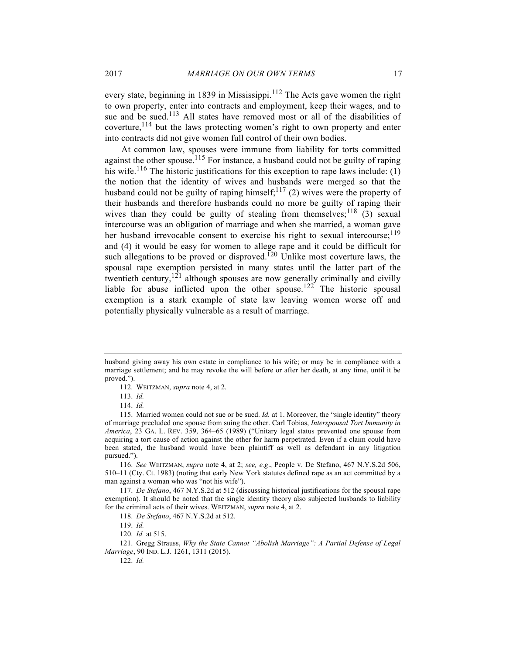every state, beginning in 1839 in Mississippi.<sup>112</sup> The Acts gave women the right to own property, enter into contracts and employment, keep their wages, and to sue and be sued.<sup>113</sup> All states have removed most or all of the disabilities of coverture, $114$  but the laws protecting women's right to own property and enter into contracts did not give women full control of their own bodies.

At common law, spouses were immune from liability for torts committed against the other spouse.<sup>115</sup> For instance, a husband could not be guilty of raping his wife.<sup>116</sup> The historic justifications for this exception to rape laws include: (1) the notion that the identity of wives and husbands were merged so that the husband could not be guilty of raping himself;<sup>117</sup> (2) wives were the property of their husbands and therefore husbands could no more be guilty of raping their wives than they could be guilty of stealing from themselves;  $\frac{118}{3}$  (3) sexual intercourse was an obligation of marriage and when she married, a woman gave her husband irrevocable consent to exercise his right to sexual intercourse;  $119$ and (4) it would be easy for women to allege rape and it could be difficult for such allegations to be proved or disproved.<sup>120</sup> Unlike most coverture laws, the spousal rape exemption persisted in many states until the latter part of the twentieth century,  $121$  although spouses are now generally criminally and civilly liable for abuse inflicted upon the other spouse.<sup>122</sup> The historic spousal exemption is a stark example of state law leaving women worse off and potentially physically vulnerable as a result of marriage.

116. *See* WEITZMAN, *supra* note 4, at 2; *see, e.g*., People v. De Stefano, 467 N.Y.S.2d 506, 510–11 (Cty. Ct. 1983) (noting that early New York statutes defined rape as an act committed by a man against a woman who was "not his wife").

117. *De Stefano*, 467 N.Y.S.2d at 512 (discussing historical justifications for the spousal rape exemption). It should be noted that the single identity theory also subjected husbands to liability for the criminal acts of their wives. WEITZMAN, *supra* note 4, at 2.

118. *De Stefano*, 467 N.Y.S.2d at 512.

119. *Id.*

120. *Id.* at 515.

121. Gregg Strauss, *Why the State Cannot "Abolish Marriage": A Partial Defense of Legal Marriage*, 90 IND. L.J. 1261, 1311 (2015). 122. *Id.*

husband giving away his own estate in compliance to his wife; or may be in compliance with a marriage settlement; and he may revoke the will before or after her death, at any time, until it be proved.").

<sup>112.</sup> WEITZMAN, *supra* note 4, at 2.

<sup>113.</sup> *Id.*

<sup>114.</sup> *Id.*

<sup>115.</sup> Married women could not sue or be sued. *Id.* at 1. Moreover, the "single identity" theory of marriage precluded one spouse from suing the other. Carl Tobias, *Interspousal Tort Immunity in America*, 23 GA. L. REV. 359, 364–65 (1989) ("Unitary legal status prevented one spouse from acquiring a tort cause of action against the other for harm perpetrated. Even if a claim could have been stated, the husband would have been plaintiff as well as defendant in any litigation pursued.").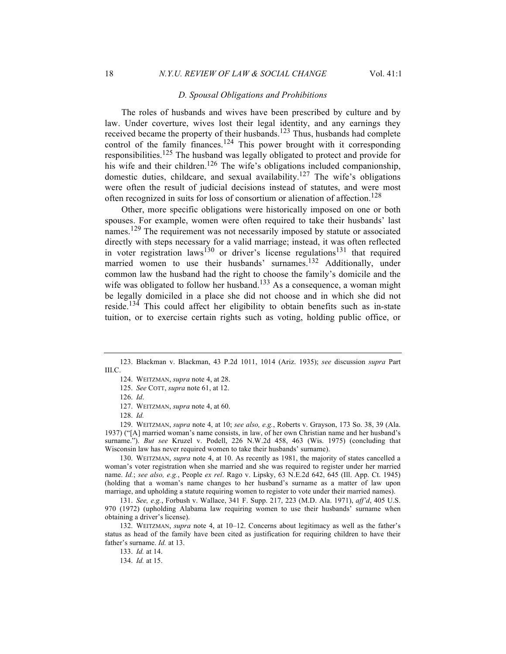#### *D. Spousal Obligations and Prohibitions*

The roles of husbands and wives have been prescribed by culture and by law. Under coverture, wives lost their legal identity, and any earnings they received became the property of their husbands.123 Thus, husbands had complete control of the family finances.<sup>124</sup> This power brought with it corresponding responsibilities.<sup>125</sup> The husband was legally obligated to protect and provide for his wife and their children.<sup>126</sup> The wife's obligations included companionship, domestic duties, childcare, and sexual availability.127 The wife's obligations were often the result of judicial decisions instead of statutes, and were most often recognized in suits for loss of consortium or alienation of affection.<sup>128</sup>

Other, more specific obligations were historically imposed on one or both spouses. For example, women were often required to take their husbands' last names.<sup>129</sup> The requirement was not necessarily imposed by statute or associated directly with steps necessary for a valid marriage; instead, it was often reflected in voter registration laws<sup>130</sup> or driver's license regulations<sup>131</sup> that required married women to use their husbands' surnames.<sup>132</sup> Additionally, under common law the husband had the right to choose the family's domicile and the wife was obligated to follow her husband.<sup>133</sup> As a consequence, a woman might be legally domiciled in a place she did not choose and in which she did not reside.<sup>134</sup> This could affect her eligibility to obtain benefits such as in-state tuition, or to exercise certain rights such as voting, holding public office, or

127. WEITZMAN, *supra* note 4, at 60.

128. *Id.*

129. WEITZMAN, *supra* note 4, at 10; *see also, e.g.*, Roberts v. Grayson, 173 So. 38, 39 (Ala. 1937) ("[A] married woman's name consists, in law, of her own Christian name and her husband's surname."). *But see* Kruzel v. Podell, 226 N.W.2d 458, 463 (Wis. 1975) (concluding that Wisconsin law has never required women to take their husbands' surname).

130. WEITZMAN, *supra* note 4, at 10. As recently as 1981, the majority of states cancelled a woman's voter registration when she married and she was required to register under her married name. *Id.*; *see also, e.g.*, People *ex rel*. Rago v. Lipsky, 63 N.E.2d 642, 645 (Ill. App. Ct. 1945) (holding that a woman's name changes to her husband's surname as a matter of law upon marriage, and upholding a statute requiring women to register to vote under their married names).

131. *See, e.g.*, Forbush v. Wallace, 341 F. Supp. 217, 223 (M.D. Ala. 1971), *aff'd*, 405 U.S. 970 (1972) (upholding Alabama law requiring women to use their husbands' surname when obtaining a driver's license).

132. WEITZMAN, *supra* note 4, at 10–12. Concerns about legitimacy as well as the father's status as head of the family have been cited as justification for requiring children to have their father's surname. *Id.* at 13.

133. *Id.* at 14.

134. *Id.* at 15.

<sup>123.</sup> Blackman v. Blackman, 43 P.2d 1011, 1014 (Ariz. 1935); *see* discussion *supra* Part III.C.

<sup>124.</sup> WEITZMAN, *supra* note 4, at 28.

<sup>125.</sup> *See* COTT, *supra* note 61, at 12.

<sup>126.</sup> *Id*.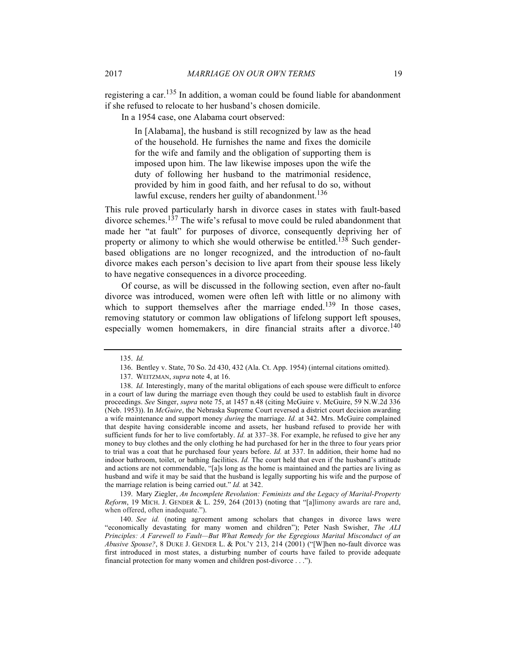registering a car.<sup>135</sup> In addition, a woman could be found liable for abandonment if she refused to relocate to her husband's chosen domicile.

In a 1954 case, one Alabama court observed:

In [Alabama], the husband is still recognized by law as the head of the household. He furnishes the name and fixes the domicile for the wife and family and the obligation of supporting them is imposed upon him. The law likewise imposes upon the wife the duty of following her husband to the matrimonial residence, provided by him in good faith, and her refusal to do so, without lawful excuse, renders her guilty of abandonment.<sup>136</sup>

This rule proved particularly harsh in divorce cases in states with fault-based divorce schemes.<sup>137</sup> The wife's refusal to move could be ruled abandonment that made her "at fault" for purposes of divorce, consequently depriving her of property or alimony to which she would otherwise be entitled.<sup>138</sup> Such genderbased obligations are no longer recognized, and the introduction of no-fault divorce makes each person's decision to live apart from their spouse less likely to have negative consequences in a divorce proceeding.

Of course, as will be discussed in the following section, even after no-fault divorce was introduced, women were often left with little or no alimony with which to support themselves after the marriage ended.<sup>139</sup> In those cases, removing statutory or common law obligations of lifelong support left spouses, especially women homemakers, in dire financial straits after a divorce.<sup>140</sup>

139. Mary Ziegler, *An Incomplete Revolution: Feminists and the Legacy of Marital-Property Reform*, 19 MICH. J. GENDER & L. 259, 264 (2013) (noting that "[a]limony awards are rare and, when offered, often inadequate.").

<sup>135.</sup> *Id.*

<sup>136.</sup> Bentley v. State, 70 So. 2d 430, 432 (Ala. Ct. App. 1954) (internal citations omitted).

<sup>137.</sup> WEITZMAN, *supra* note 4, at 16.

<sup>138.</sup> *Id.* Interestingly, many of the marital obligations of each spouse were difficult to enforce in a court of law during the marriage even though they could be used to establish fault in divorce proceedings. *See* Singer, *supra* note 75, at 1457 n.48 (citing McGuire v. McGuire, 59 N.W.2d 336 (Neb. 1953)). In *McGuire*, the Nebraska Supreme Court reversed a district court decision awarding a wife maintenance and support money *during* the marriage. *Id.* at 342. Mrs. McGuire complained that despite having considerable income and assets, her husband refused to provide her with sufficient funds for her to live comfortably. *Id.* at 337–38. For example, he refused to give her any money to buy clothes and the only clothing he had purchased for her in the three to four years prior to trial was a coat that he purchased four years before. *Id.* at 337. In addition, their home had no indoor bathroom, toilet, or bathing facilities. *Id.* The court held that even if the husband's attitude and actions are not commendable, "[a]s long as the home is maintained and the parties are living as husband and wife it may be said that the husband is legally supporting his wife and the purpose of the marriage relation is being carried out." *Id.* at 342.

<sup>140.</sup> *See id.* (noting agreement among scholars that changes in divorce laws were "economically devastating for many women and children"); Peter Nash Swisher, *The ALI Principles: A Farewell to Fault—But What Remedy for the Egregious Marital Misconduct of an Abusive Spouse?*, 8 DUKE J. GENDER L. & POL'Y 213, 214 (2001) ("[W]hen no-fault divorce was first introduced in most states, a disturbing number of courts have failed to provide adequate financial protection for many women and children post-divorce . . .").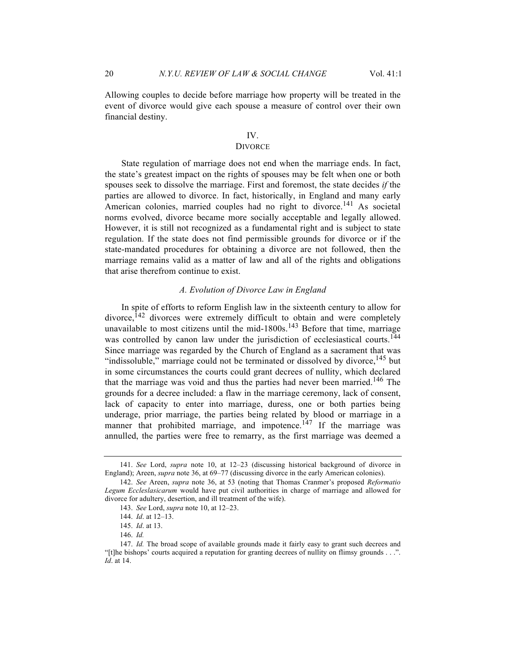Allowing couples to decide before marriage how property will be treated in the event of divorce would give each spouse a measure of control over their own financial destiny.

#### IV.

#### **DIVORCE**

State regulation of marriage does not end when the marriage ends. In fact, the state's greatest impact on the rights of spouses may be felt when one or both spouses seek to dissolve the marriage. First and foremost, the state decides *if* the parties are allowed to divorce. In fact, historically, in England and many early American colonies, married couples had no right to divorce.<sup>141</sup> As societal norms evolved, divorce became more socially acceptable and legally allowed. However, it is still not recognized as a fundamental right and is subject to state regulation. If the state does not find permissible grounds for divorce or if the state-mandated procedures for obtaining a divorce are not followed, then the marriage remains valid as a matter of law and all of the rights and obligations that arise therefrom continue to exist.

#### *A. Evolution of Divorce Law in England*

In spite of efforts to reform English law in the sixteenth century to allow for  $divorce$ <sup>142</sup> divorces were extremely difficult to obtain and were completely unavailable to most citizens until the mid- $1800s$ ,  $143$  Before that time, marriage was controlled by canon law under the jurisdiction of ecclesiastical courts.<sup>144</sup> Since marriage was regarded by the Church of England as a sacrament that was "indissoluble," marriage could not be terminated or dissolved by divorce, $145$  but in some circumstances the courts could grant decrees of nullity, which declared that the marriage was void and thus the parties had never been married.<sup>146</sup> The grounds for a decree included: a flaw in the marriage ceremony, lack of consent, lack of capacity to enter into marriage, duress, one or both parties being underage, prior marriage, the parties being related by blood or marriage in a manner that prohibited marriage, and impotence.<sup>147</sup> If the marriage was annulled, the parties were free to remarry, as the first marriage was deemed a

<sup>141.</sup> *See* Lord, *supra* note 10, at 12–23 (discussing historical background of divorce in England); Areen, *supra* note 36, at 69–77 (discussing divorce in the early American colonies).

<sup>142.</sup> *See* Areen, *supra* note 36, at 53 (noting that Thomas Cranmer's proposed *Reformatio Legum Eccleslasicarum* would have put civil authorities in charge of marriage and allowed for divorce for adultery, desertion, and ill treatment of the wife).

<sup>143.</sup> *See* Lord, *supra* note 10, at 12–23.

<sup>144.</sup> *Id*. at 12–13.

<sup>145.</sup> *Id*. at 13.

<sup>146.</sup> *Id.*

<sup>147.</sup> *Id.* The broad scope of available grounds made it fairly easy to grant such decrees and "[t]he bishops' courts acquired a reputation for granting decrees of nullity on flimsy grounds . . .". *Id*. at 14.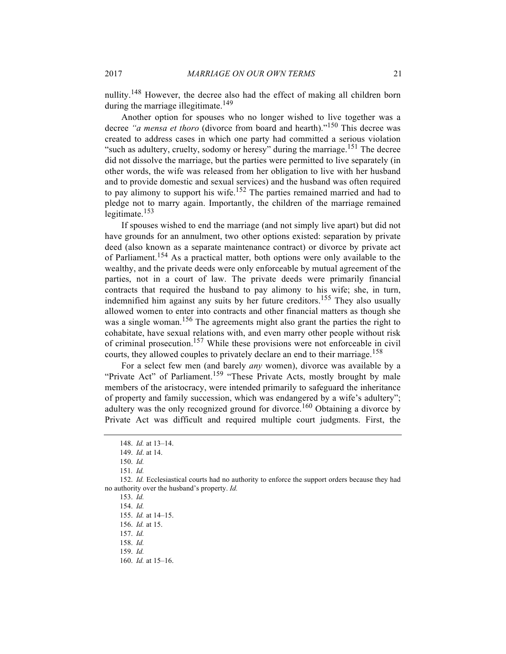nullity.<sup>148</sup> However, the decree also had the effect of making all children born during the marriage illegitimate.<sup>149</sup>

Another option for spouses who no longer wished to live together was a decree *"a mensa et thoro* (divorce from board and hearth)."<sup>150</sup> This decree was created to address cases in which one party had committed a serious violation "such as adultery, cruelty, sodomy or heresy" during the marriage.<sup>151</sup> The decree did not dissolve the marriage, but the parties were permitted to live separately (in other words, the wife was released from her obligation to live with her husband and to provide domestic and sexual services) and the husband was often required to pay alimony to support his wife.<sup>152</sup> The parties remained married and had to pledge not to marry again. Importantly, the children of the marriage remained legitimate.<sup>153</sup>

If spouses wished to end the marriage (and not simply live apart) but did not have grounds for an annulment, two other options existed: separation by private deed (also known as a separate maintenance contract) or divorce by private act of Parliament.<sup>154</sup> As a practical matter, both options were only available to the wealthy, and the private deeds were only enforceable by mutual agreement of the parties, not in a court of law. The private deeds were primarily financial contracts that required the husband to pay alimony to his wife; she, in turn, indemnified him against any suits by her future creditors.<sup>155</sup> They also usually allowed women to enter into contracts and other financial matters as though she was a single woman.<sup>156</sup> The agreements might also grant the parties the right to cohabitate, have sexual relations with, and even marry other people without risk of criminal prosecution.157 While these provisions were not enforceable in civil courts, they allowed couples to privately declare an end to their marriage.<sup>158</sup>

For a select few men (and barely *any* women), divorce was available by a "Private Act" of Parliament.<sup>159</sup> "These Private Acts, mostly brought by male members of the aristocracy, were intended primarily to safeguard the inheritance of property and family succession, which was endangered by a wife's adultery"; adultery was the only recognized ground for divorce.<sup>160</sup> Obtaining a divorce by Private Act was difficult and required multiple court judgments. First, the

<sup>148.</sup> *Id.* at 13–14.

<sup>149.</sup> *Id*. at 14.

<sup>150.</sup> *Id.*

<sup>151</sup>*. Id.*

<sup>152.</sup> *Id.* Ecclesiastical courts had no authority to enforce the support orders because they had no authority over the husband's property. *Id.*

<sup>153.</sup> *Id.*

<sup>154.</sup> *Id.*

<sup>155.</sup> *Id.* at 14–15.

<sup>156.</sup> *Id.* at 15.

<sup>157.</sup> *Id.*

<sup>158.</sup> *Id.*

<sup>159.</sup> *Id.*

<sup>160.</sup> *Id.* at 15–16.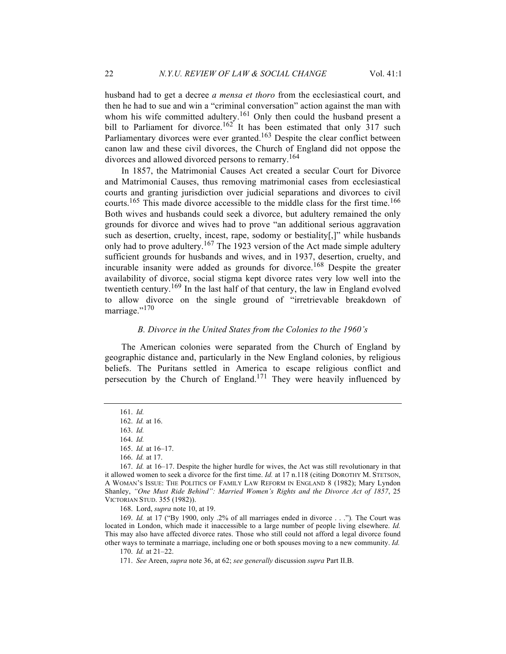husband had to get a decree *a mensa et thoro* from the ecclesiastical court, and then he had to sue and win a "criminal conversation" action against the man with whom his wife committed adultery.<sup>161</sup> Only then could the husband present a bill to Parliament for divorce.<sup>162</sup> It has been estimated that only  $317$  such Parliamentary divorces were ever granted.<sup>163</sup> Despite the clear conflict between canon law and these civil divorces, the Church of England did not oppose the divorces and allowed divorced persons to remarry.<sup>164</sup>

In 1857, the Matrimonial Causes Act created a secular Court for Divorce and Matrimonial Causes, thus removing matrimonial cases from ecclesiastical courts and granting jurisdiction over judicial separations and divorces to civil courts.<sup>165</sup> This made divorce accessible to the middle class for the first time.<sup>166</sup> Both wives and husbands could seek a divorce, but adultery remained the only grounds for divorce and wives had to prove "an additional serious aggravation such as desertion, cruelty, incest, rape, sodomy or bestiality[,]" while husbands only had to prove adultery.<sup>167</sup> The 1923 version of the Act made simple adultery sufficient grounds for husbands and wives, and in 1937, desertion, cruelty, and incurable insanity were added as grounds for divorce.<sup>168</sup> Despite the greater availability of divorce, social stigma kept divorce rates very low well into the twentieth century.<sup>169</sup> In the last half of that century, the law in England evolved to allow divorce on the single ground of "irretrievable breakdown of marriage."<sup>170</sup>

### *B. Divorce in the United States from the Colonies to the 1960's*

The American colonies were separated from the Church of England by geographic distance and, particularly in the New England colonies, by religious beliefs. The Puritans settled in America to escape religious conflict and persecution by the Church of England.<sup>171</sup> They were heavily influenced by

168. Lord, *supra* note 10, at 19.

169. *Id.* at 17 ("By 1900, only .2% of all marriages ended in divorce . . .")*.* The Court was located in London, which made it inaccessible to a large number of people living elsewhere. *Id.* This may also have affected divorce rates. Those who still could not afford a legal divorce found other ways to terminate a marriage, including one or both spouses moving to a new community. *Id.*

<sup>161.</sup> *Id.*

<sup>162.</sup> *Id.* at 16.

<sup>163.</sup> *Id.*

<sup>164.</sup> *Id.*

<sup>165.</sup> *Id.* at 16–17.

<sup>166.</sup> *Id.* at 17.

<sup>167.</sup> *Id.* at 16–17. Despite the higher hurdle for wives, the Act was still revolutionary in that it allowed women to seek a divorce for the first time. *Id.* at 17 n.118 (citing DOROTHY M. STETSON, A WOMAN'S ISSUE: THE POLITICS OF FAMILY LAW REFORM IN ENGLAND 8 (1982); Mary Lyndon Shanley, *"One Must Ride Behind": Married Women's Rights and the Divorce Act of 1857*, 25 VICTORIAN STUD. 355 (1982)).

<sup>170.</sup> *Id.* at 21–22.

<sup>171.</sup> *See* Areen, *supra* note 36, at 62; *see generally* discussion *supra* Part II.B.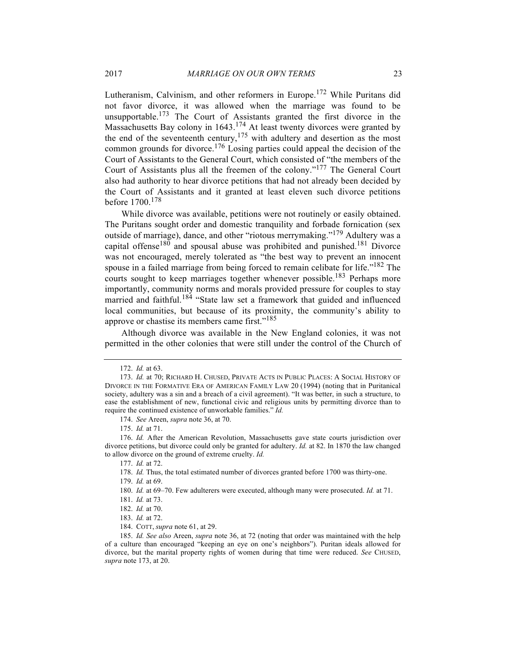Lutheranism, Calvinism, and other reformers in Europe.<sup>172</sup> While Puritans did not favor divorce, it was allowed when the marriage was found to be unsupportable.<sup>173</sup> The Court of Assistants granted the first divorce in the Massachusetts Bay colony in 1643.<sup>174</sup> At least twenty divorces were granted by the end of the seventeenth century,<sup>175</sup> with adultery and desertion as the most common grounds for divorce.<sup>176</sup> Losing parties could appeal the decision of the Court of Assistants to the General Court, which consisted of "the members of the Court of Assistants plus all the freemen of the colony."<sup>177</sup> The General Court also had authority to hear divorce petitions that had not already been decided by the Court of Assistants and it granted at least eleven such divorce petitions before 1700.<sup>178</sup>

While divorce was available, petitions were not routinely or easily obtained. The Puritans sought order and domestic tranquility and forbade fornication (sex outside of marriage), dance, and other "riotous merrymaking."<sup>179</sup> Adultery was a capital offense<sup>180</sup> and spousal abuse was prohibited and punished.<sup>181</sup> Divorce was not encouraged, merely tolerated as "the best way to prevent an innocent spouse in a failed marriage from being forced to remain celibate for life."<sup>182</sup> The courts sought to keep marriages together whenever possible.<sup>183</sup> Perhaps more importantly, community norms and morals provided pressure for couples to stay married and faithful.<sup>184</sup> "State law set a framework that guided and influenced local communities, but because of its proximity, the community's ability to approve or chastise its members came first."<sup>185</sup>

Although divorce was available in the New England colonies, it was not permitted in the other colonies that were still under the control of the Church of

179. *Id.* at 69.

<sup>172.</sup> *Id.* at 63.

<sup>173.</sup> *Id.* at 70; RICHARD H. CHUSED, PRIVATE ACTS IN PUBLIC PLACES: A SOCIAL HISTORY OF DIVORCE IN THE FORMATIVE ERA OF AMERICAN FAMILY LAW 20 (1994) (noting that in Puritanical society, adultery was a sin and a breach of a civil agreement). "It was better, in such a structure, to ease the establishment of new, functional civic and religious units by permitting divorce than to require the continued existence of unworkable families." *Id.*

<sup>174.</sup> *See* Areen, *supra* note 36, at 70.

<sup>175.</sup> *Id.* at 71.

<sup>176.</sup> *Id.* After the American Revolution, Massachusetts gave state courts jurisdiction over divorce petitions, but divorce could only be granted for adultery. *Id.* at 82. In 1870 the law changed to allow divorce on the ground of extreme cruelty. *Id.*

<sup>177.</sup> *Id.* at 72.

<sup>178.</sup> *Id.* Thus, the total estimated number of divorces granted before 1700 was thirty-one.

<sup>180.</sup> *Id.* at 69–70. Few adulterers were executed, although many were prosecuted. *Id.* at 71.

<sup>181.</sup> *Id.* at 73.

<sup>182.</sup> *Id.* at 70.

<sup>183.</sup> *Id.* at 72.

<sup>184.</sup> COTT, *supra* note 61, at 29.

<sup>185.</sup> *Id. See also* Areen, *supra* note 36, at 72 (noting that order was maintained with the help of a culture than encouraged "keeping an eye on one's neighbors"). Puritan ideals allowed for divorce, but the marital property rights of women during that time were reduced. *See* CHUSED, *supra* note 173, at 20.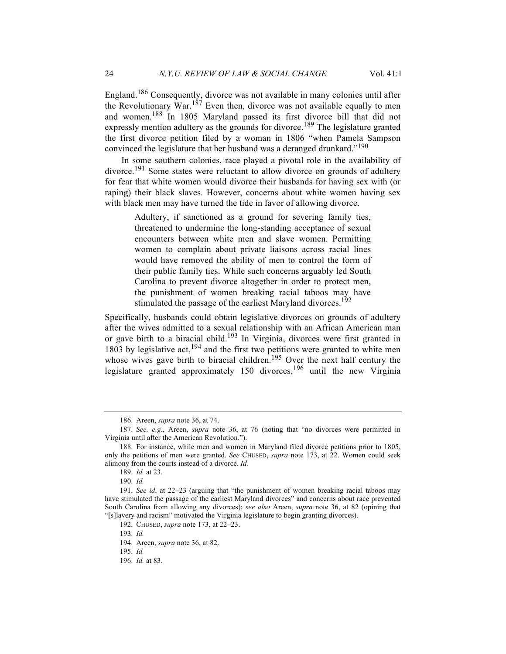England.<sup>186</sup> Consequently, divorce was not available in many colonies until after the Revolutionary War.<sup>187</sup> Even then, divorce was not available equally to men and women.<sup>188</sup> In 1805 Maryland passed its first divorce bill that did not expressly mention adultery as the grounds for divorce.<sup>189</sup> The legislature granted the first divorce petition filed by a woman in 1806 "when Pamela Sampson convinced the legislature that her husband was a deranged drunkard."<sup>190</sup>

In some southern colonies, race played a pivotal role in the availability of divorce.<sup>191</sup> Some states were reluctant to allow divorce on grounds of adultery for fear that white women would divorce their husbands for having sex with (or raping) their black slaves. However, concerns about white women having sex with black men may have turned the tide in favor of allowing divorce.

> Adultery, if sanctioned as a ground for severing family ties, threatened to undermine the long-standing acceptance of sexual encounters between white men and slave women. Permitting women to complain about private liaisons across racial lines would have removed the ability of men to control the form of their public family ties. While such concerns arguably led South Carolina to prevent divorce altogether in order to protect men, the punishment of women breaking racial taboos may have stimulated the passage of the earliest Maryland divorces.<sup>192</sup>

Specifically, husbands could obtain legislative divorces on grounds of adultery after the wives admitted to a sexual relationship with an African American man or gave birth to a biracial child.<sup>193</sup> In Virginia, divorces were first granted in 1803 by legislative act, $194$  and the first two petitions were granted to white men whose wives gave birth to biracial children.<sup>195</sup> Over the next half century the legislature granted approximately 150 divorces,<sup>196</sup> until the new Virginia

<sup>186.</sup> Areen, *supra* note 36, at 74.

<sup>187.</sup> *See, e.g*., Areen, *supra* note 36, at 76 (noting that "no divorces were permitted in Virginia until after the American Revolution.").

<sup>188.</sup> For instance, while men and women in Maryland filed divorce petitions prior to 1805, only the petitions of men were granted. *See* CHUSED, *supra* note 173, at 22. Women could seek alimony from the courts instead of a divorce. *Id.*

<sup>189.</sup> *Id.* at 23.

<sup>190.</sup> *Id.*

<sup>191.</sup> *See id*. at 22–23 (arguing that "the punishment of women breaking racial taboos may have stimulated the passage of the earliest Maryland divorces" and concerns about race prevented South Carolina from allowing any divorces); *see also* Areen, *supra* note 36, at 82 (opining that "[s]lavery and racism" motivated the Virginia legislature to begin granting divorces).

<sup>192.</sup> CHUSED, *supra* note 173, at 22–23.

<sup>193.</sup> *Id.*

<sup>194.</sup> Areen, *supra* note 36, at 82.

<sup>195.</sup> *Id.*

<sup>196.</sup> *Id.* at 83.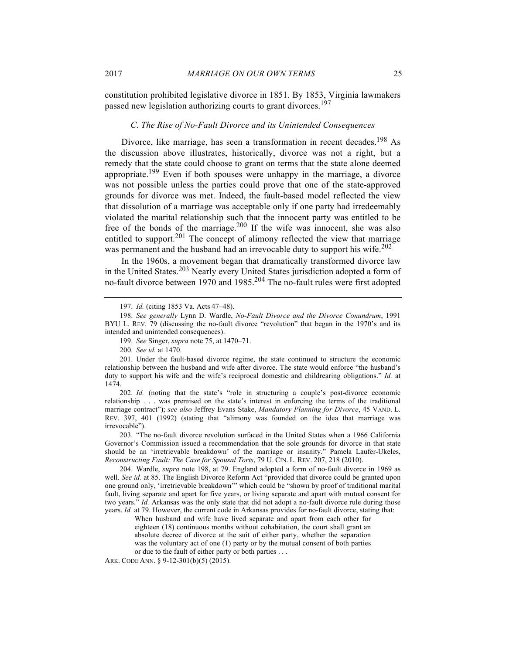constitution prohibited legislative divorce in 1851. By 1853, Virginia lawmakers passed new legislation authorizing courts to grant divorces.<sup>197</sup>

## *C. The Rise of No-Fault Divorce and its Unintended Consequences*

Divorce, like marriage, has seen a transformation in recent decades.<sup>198</sup> As the discussion above illustrates, historically, divorce was not a right, but a remedy that the state could choose to grant on terms that the state alone deemed appropriate.<sup>199</sup> Even if both spouses were unhappy in the marriage, a divorce was not possible unless the parties could prove that one of the state-approved grounds for divorce was met. Indeed, the fault-based model reflected the view that dissolution of a marriage was acceptable only if one party had irredeemably violated the marital relationship such that the innocent party was entitled to be free of the bonds of the marriage.<sup>200</sup> If the wife was innocent, she was also entitled to support.<sup>201</sup> The concept of alimony reflected the view that marriage was permanent and the husband had an irrevocable duty to support his wife.<sup>202</sup>

In the 1960s, a movement began that dramatically transformed divorce law in the United States.<sup>203</sup> Nearly every United States jurisdiction adopted a form of no-fault divorce between 1970 and 1985.<sup>204</sup> The no-fault rules were first adopted

202. *Id.* (noting that the state's "role in structuring a couple's post-divorce economic relationship . . . was premised on the state's interest in enforcing the terms of the traditional marriage contract"); *see also* Jeffrey Evans Stake, *Mandatory Planning for Divorce*, 45 VAND. L. REV. 397, 401 (1992) (stating that "alimony was founded on the idea that marriage was irrevocable").

203. "The no-fault divorce revolution surfaced in the United States when a 1966 California Governor's Commission issued a recommendation that the sole grounds for divorce in that state should be an 'irretrievable breakdown' of the marriage or insanity." Pamela Laufer-Ukeles, *Reconstructing Fault: The Case for Spousal Torts*, 79 U. CIN. L. REV. 207, 218 (2010).

204. Wardle, *supra* note 198, at 79. England adopted a form of no-fault divorce in 1969 as well. *See id.* at 85. The English Divorce Reform Act "provided that divorce could be granted upon one ground only, 'irretrievable breakdown'" which could be "shown by proof of traditional marital fault, living separate and apart for five years, or living separate and apart with mutual consent for two years." *Id.* Arkansas was the only state that did not adopt a no-fault divorce rule during those years. *Id.* at 79. However, the current code in Arkansas provides for no-fault divorce, stating that:

When husband and wife have lived separate and apart from each other for eighteen (18) continuous months without cohabitation, the court shall grant an absolute decree of divorce at the suit of either party, whether the separation was the voluntary act of one (1) party or by the mutual consent of both parties or due to the fault of either party or both parties . . .

ARK. CODE ANN. § 9-12-301(b)(5) (2015).

<sup>197.</sup> *Id.* (citing 1853 Va. Acts 47–48).

<sup>198.</sup> *See generally* Lynn D. Wardle, *No-Fault Divorce and the Divorce Conundrum*, 1991 BYU L. REV. 79 (discussing the no-fault divorce "revolution" that began in the 1970's and its intended and unintended consequences).

<sup>199.</sup> *See* Singer, *supra* note 75, at 1470–71.

<sup>200.</sup> *See id.* at 1470.

<sup>201.</sup> Under the fault-based divorce regime, the state continued to structure the economic relationship between the husband and wife after divorce. The state would enforce "the husband's duty to support his wife and the wife's reciprocal domestic and childrearing obligations." *Id.* at 1474.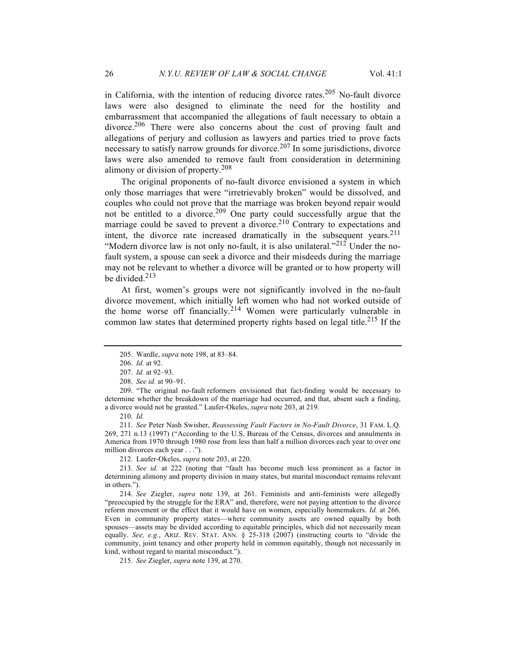in California, with the intention of reducing divorce rates.<sup>205</sup> No-fault divorce laws were also designed to eliminate the need for the hostility and embarrassment that accompanied the allegations of fault necessary to obtain a divorce.<sup>206</sup> There were also concerns about the cost of proving fault and allegations of perjury and collusion as lawyers and parties tried to prove facts necessary to satisfy narrow grounds for divorce.<sup>207</sup> In some jurisdictions, divorce laws were also amended to remove fault from consideration in determining alimony or division of property.<sup>208</sup>

The original proponents of no-fault divorce envisioned a system in which only those marriages that were "irretrievably broken" would be dissolved, and couples who could not prove that the marriage was broken beyond repair would not be entitled to a divorce.<sup>209</sup> One party could successfully argue that the marriage could be saved to prevent a divorce.<sup>210</sup> Contrary to expectations and intent, the divorce rate increased dramatically in the subsequent years.  $2^{11}$ "Modern divorce law is not only no-fault, it is also unilateral."<sup>212</sup> Under the nofault system, a spouse can seek a divorce and their misdeeds during the marriage may not be relevant to whether a divorce will be granted or to how property will be divided. $213$ 

At first, women's groups were not significantly involved in the no-fault divorce movement, which initially left women who had not worked outside of the home worse off financially.<sup>214</sup> Women were particularly vulnerable in common law states that determined property rights based on legal title.<sup>215</sup> If the

210. *Id.*

211. *See* Peter Nash Swisher, *Reassessing Fault Factors in No-Fault Divorce*, 31 FAM. L.Q. 269, 271 n.13 (1997) ("According to the U.S. Bureau of the Census, divorces and annulments in America from 1970 through 1980 rose from less than half a million divorces each year to over one million divorces each year . . .").

212. Laufer-Okeles, *supra* note 203, at 220.

213. *See id.* at 222 (noting that "fault has become much less prominent as a factor in determining alimony and property division in many states, but marital misconduct remains relevant in others.").

214. *See* Ziegler, *supra* note 139, at 261. Feminists and anti-feminists were allegedly "preoccupied by the struggle for the ERA" and, therefore, were not paying attention to the divorce reform movement or the effect that it would have on women, especially homemakers. *Id.* at 266. Even in community property states—where community assets are owned equally by both spouses—assets may be divided according to equitable principles, which did not necessarily mean equally. *See, e.g.*, ARIZ. REV. STAT. ANN. § 25-318 (2007) (instructing courts to "divide the community, joint tenancy and other property held in common equitably, though not necessarily in kind, without regard to marital misconduct.").

215. *See* Ziegler, *supra* note 139, at 270.

<sup>205.</sup> Wardle, *supra* note 198, at 83–84.

<sup>206.</sup> *Id.* at 92.

<sup>207.</sup> *Id.* at 92–93.

<sup>208.</sup> *See id.* at 90–91.

<sup>209.</sup> "The original no-fault reformers envisioned that fact-finding would be necessary to determine whether the breakdown of the marriage had occurred, and that, absent such a finding, a divorce would not be granted." Laufer-Okeles, *supra* note 203, at 219.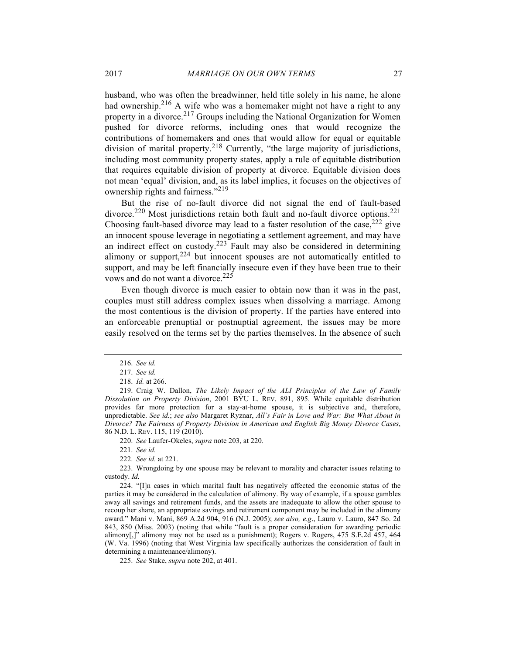husband, who was often the breadwinner, held title solely in his name, he alone had ownership.<sup>216</sup> A wife who was a homemaker might not have a right to any property in a divorce.<sup>217</sup> Groups including the National Organization for Women pushed for divorce reforms, including ones that would recognize the contributions of homemakers and ones that would allow for equal or equitable division of marital property.<sup>218</sup> Currently, "the large majority of jurisdictions, including most community property states, apply a rule of equitable distribution that requires equitable division of property at divorce. Equitable division does not mean 'equal' division, and, as its label implies, it focuses on the objectives of ownership rights and fairness."<sup>219</sup>

But the rise of no-fault divorce did not signal the end of fault-based divorce.<sup>220</sup> Most jurisdictions retain both fault and no-fault divorce options.<sup>221</sup> Choosing fault-based divorce may lead to a faster resolution of the case,  $222$  give an innocent spouse leverage in negotiating a settlement agreement, and may have an indirect effect on custody.<sup>223</sup> Fault may also be considered in determining alimony or support,  $224$  but innocent spouses are not automatically entitled to support, and may be left financially insecure even if they have been true to their vows and do not want a divorce.<sup>225</sup>

Even though divorce is much easier to obtain now than it was in the past, couples must still address complex issues when dissolving a marriage. Among the most contentious is the division of property. If the parties have entered into an enforceable prenuptial or postnuptial agreement, the issues may be more easily resolved on the terms set by the parties themselves. In the absence of such

220. *See* Laufer-Okeles, *supra* note 203, at 220.

221. *See id.*

224. "[I]n cases in which marital fault has negatively affected the economic status of the parties it may be considered in the calculation of alimony. By way of example, if a spouse gambles away all savings and retirement funds, and the assets are inadequate to allow the other spouse to recoup her share, an appropriate savings and retirement component may be included in the alimony award." Mani v. Mani, 869 A.2d 904, 916 (N.J. 2005); *see also, e.g*., Lauro v. Lauro, 847 So. 2d 843, 850 (Miss. 2003) (noting that while "fault is a proper consideration for awarding periodic alimony[,]" alimony may not be used as a punishment); Rogers v. Rogers, 475 S.E.2d 457, 464 (W. Va. 1996) (noting that West Virginia law specifically authorizes the consideration of fault in determining a maintenance/alimony).

225. *See* Stake, *supra* note 202, at 401.

<sup>216.</sup> *See id.*

<sup>217.</sup> *See id.*

<sup>218.</sup> *Id.* at 266.

<sup>219.</sup> Craig W. Dallon, *The Likely Impact of the ALI Principles of the Law of Family Dissolution on Property Division*, 2001 BYU L. REV. 891, 895. While equitable distribution provides far more protection for a stay-at-home spouse, it is subjective and, therefore, unpredictable. *See id.*; *see also* Margaret Ryznar, *All's Fair in Love and War: But What About in Divorce? The Fairness of Property Division in American and English Big Money Divorce Cases*, 86 N.D. L. REV. 115, 119 (2010).

<sup>222.</sup> *See id.* at 221.

<sup>223.</sup> Wrongdoing by one spouse may be relevant to morality and character issues relating to custody. *Id.*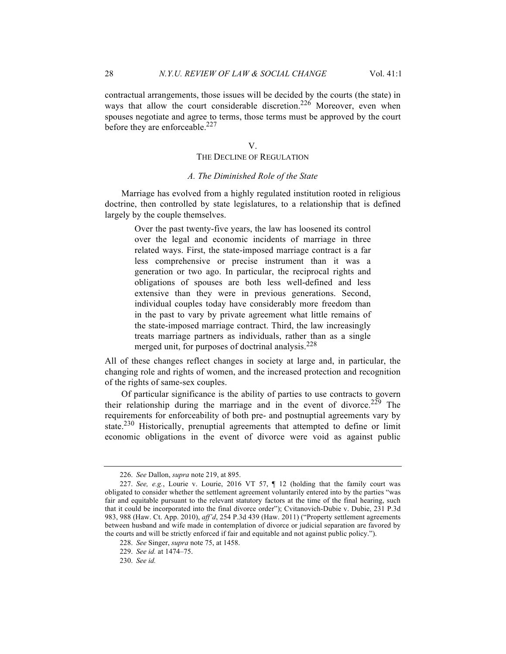contractual arrangements, those issues will be decided by the courts (the state) in ways that allow the court considerable discretion.<sup>226</sup> Moreover, even when spouses negotiate and agree to terms, those terms must be approved by the court before they are enforceable.<sup>227</sup>

V.

## THE DECLINE OF REGULATION

#### *A. The Diminished Role of the State*

Marriage has evolved from a highly regulated institution rooted in religious doctrine, then controlled by state legislatures, to a relationship that is defined largely by the couple themselves.

> Over the past twenty-five years, the law has loosened its control over the legal and economic incidents of marriage in three related ways. First, the state-imposed marriage contract is a far less comprehensive or precise instrument than it was a generation or two ago. In particular, the reciprocal rights and obligations of spouses are both less well-defined and less extensive than they were in previous generations. Second, individual couples today have considerably more freedom than in the past to vary by private agreement what little remains of the state-imposed marriage contract. Third, the law increasingly treats marriage partners as individuals, rather than as a single merged unit, for purposes of doctrinal analysis. $228$

All of these changes reflect changes in society at large and, in particular, the changing role and rights of women, and the increased protection and recognition of the rights of same-sex couples.

Of particular significance is the ability of parties to use contracts to govern their relationship during the marriage and in the event of divorce.<sup>229</sup> The requirements for enforceability of both pre- and postnuptial agreements vary by state.<sup>230</sup> Historically, prenuptial agreements that attempted to define or limit economic obligations in the event of divorce were void as against public

<sup>226.</sup> *See* Dallon, *supra* note 219, at 895.

<sup>227.</sup> *See, e.g.*, Lourie v. Lourie, 2016 VT 57, ¶ 12 (holding that the family court was obligated to consider whether the settlement agreement voluntarily entered into by the parties "was fair and equitable pursuant to the relevant statutory factors at the time of the final hearing, such that it could be incorporated into the final divorce order"); Cvitanovich-Dubie v. Dubie, 231 P.3d 983, 988 (Haw. Ct. App. 2010), *aff'd*, 254 P.3d 439 (Haw. 2011) ("Property settlement agreements between husband and wife made in contemplation of divorce or judicial separation are favored by the courts and will be strictly enforced if fair and equitable and not against public policy.").

<sup>228.</sup> *See* Singer, *supra* note 75, at 1458.

<sup>229.</sup> *See id.* at 1474–75.

<sup>230.</sup> *See id.*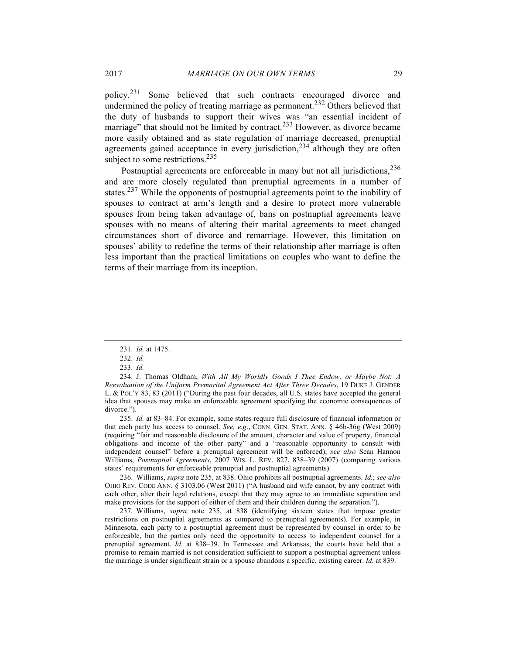policy.<sup>231</sup> Some believed that such contracts encouraged divorce and undermined the policy of treating marriage as permanent.<sup>232</sup> Others believed that the duty of husbands to support their wives was "an essential incident of marriage" that should not be limited by contract.<sup>233</sup> However, as divorce became more easily obtained and as state regulation of marriage decreased, prenuptial agreements gained acceptance in every jurisdiction,  $234$  although they are often subject to some restrictions.<sup>235</sup>

Postnuptial agreements are enforceable in many but not all jurisdictions,  $236$ and are more closely regulated than prenuptial agreements in a number of states.<sup>237</sup> While the opponents of postnuptial agreements point to the inability of spouses to contract at arm's length and a desire to protect more vulnerable spouses from being taken advantage of, bans on postnuptial agreements leave spouses with no means of altering their marital agreements to meet changed circumstances short of divorce and remarriage. However, this limitation on spouses' ability to redefine the terms of their relationship after marriage is often less important than the practical limitations on couples who want to define the terms of their marriage from its inception.

235. *Id.* at 83–84. For example, some states require full disclosure of financial information or that each party has access to counsel. *See, e.g*., CONN. GEN. STAT. ANN. § 46b-36g (West 2009) (requiring "fair and reasonable disclosure of the amount, character and value of property, financial obligations and income of the other party" and a "reasonable opportunity to consult with independent counsel" before a prenuptial agreement will be enforced); *see also* Sean Hannon Williams, *Postnuptial Agreements*, 2007 WIS. L. REV. 827, 838–39 (2007) (comparing various states' requirements for enforceable prenuptial and postnuptial agreements).

236. Williams, *supra* note 235, at 838. Ohio prohibits all postnuptial agreements. *Id.*; *see also*  OHIO REV. CODE ANN. § 3103.06 (West 2011) ("A husband and wife cannot, by any contract with each other, alter their legal relations, except that they may agree to an immediate separation and make provisions for the support of either of them and their children during the separation.").

237*.* Williams, *supra* note 235, at 838 (identifying sixteen states that impose greater restrictions on postnuptial agreements as compared to prenuptial agreements). For example, in Minnesota, each party to a postnuptial agreement must be represented by counsel in order to be enforceable, but the parties only need the opportunity to access to independent counsel for a prenuptial agreement. *Id.* at 838–39. In Tennessee and Arkansas, the courts have held that a promise to remain married is not consideration sufficient to support a postnuptial agreement unless the marriage is under significant strain or a spouse abandons a specific, existing career. *Id.* at 839.

<sup>231.</sup> *Id.* at 1475.

<sup>232.</sup> *Id.*

<sup>233.</sup> *Id.*

<sup>234.</sup> J. Thomas Oldham, *With All My Worldly Goods I Thee Endow, or Maybe Not: A Reevaluation of the Uniform Premarital Agreement Act After Three Decades*, 19 DUKE J. GENDER L. & POL'Y 83, 83 (2011) ("During the past four decades, all U.S. states have accepted the general idea that spouses may make an enforceable agreement specifying the economic consequences of divorce.").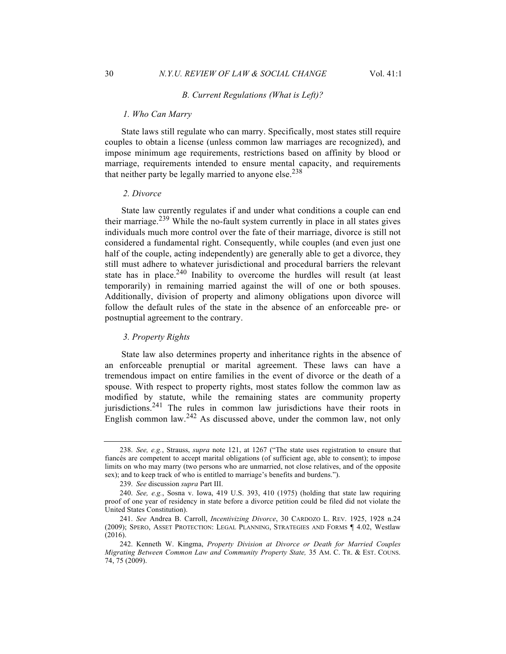#### *B. Current Regulations (What is Left)?*

#### *1. Who Can Marry*

State laws still regulate who can marry. Specifically, most states still require couples to obtain a license (unless common law marriages are recognized), and impose minimum age requirements, restrictions based on affinity by blood or marriage, requirements intended to ensure mental capacity, and requirements that neither party be legally married to anyone else. $238$ 

#### *2. Divorce*

State law currently regulates if and under what conditions a couple can end their marriage.<sup>239</sup> While the no-fault system currently in place in all states gives individuals much more control over the fate of their marriage, divorce is still not considered a fundamental right. Consequently, while couples (and even just one half of the couple, acting independently) are generally able to get a divorce, they still must adhere to whatever jurisdictional and procedural barriers the relevant state has in place.<sup>240</sup> Inability to overcome the hurdles will result (at least temporarily) in remaining married against the will of one or both spouses. Additionally, division of property and alimony obligations upon divorce will follow the default rules of the state in the absence of an enforceable pre- or postnuptial agreement to the contrary.

## *3. Property Rights*

State law also determines property and inheritance rights in the absence of an enforceable prenuptial or marital agreement. These laws can have a tremendous impact on entire families in the event of divorce or the death of a spouse. With respect to property rights, most states follow the common law as modified by statute, while the remaining states are community property jurisdictions.<sup>241</sup> The rules in common law jurisdictions have their roots in English common law.<sup>242</sup> As discussed above, under the common law, not only

<sup>238.</sup> *See, e.g.*, Strauss, *supra* note 121, at 1267 ("The state uses registration to ensure that fiancés are competent to accept marital obligations (of sufficient age, able to consent); to impose limits on who may marry (two persons who are unmarried, not close relatives, and of the opposite sex); and to keep track of who is entitled to marriage's benefits and burdens.").

<sup>239.</sup> *See* discussion *supra* Part III.

<sup>240.</sup> *See, e.g.*, Sosna v. Iowa, 419 U.S. 393, 410 (1975) (holding that state law requiring proof of one year of residency in state before a divorce petition could be filed did not violate the United States Constitution).

<sup>241.</sup> *See* Andrea B. Carroll, *Incentivizing Divorce*, 30 CARDOZO L. REV. 1925, 1928 n.24 (2009); SPERO, ASSET PROTECTION: LEGAL PLANNING, STRATEGIES AND FORMS ¶ 4.02, Westlaw (2016).

<sup>242.</sup> Kenneth W. Kingma, *Property Division at Divorce or Death for Married Couples Migrating Between Common Law and Community Property State,* 35 AM. C. TR. & EST. COUNS. 74, 75 (2009).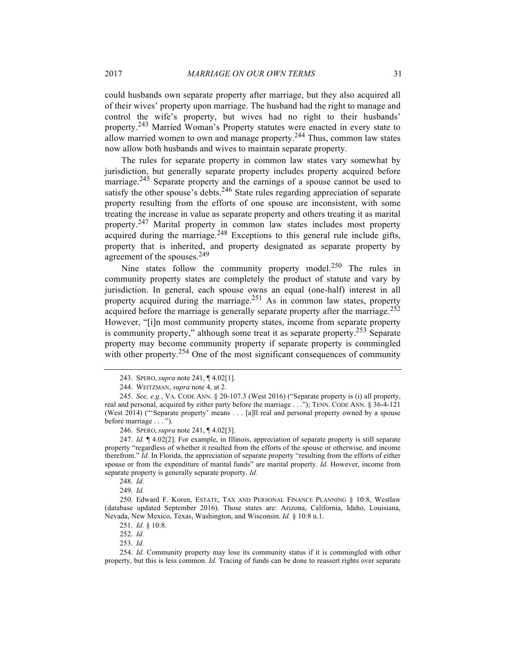could husbands own separate property after marriage, but they also acquired all of their wives' property upon marriage. The husband had the right to manage and control the wife's property, but wives had no right to their husbands' property.<sup>243</sup> Married Woman's Property statutes were enacted in every state to allow married women to own and manage property.244 Thus, common law states now allow both husbands and wives to maintain separate property.

The rules for separate property in common law states vary somewhat by jurisdiction, but generally separate property includes property acquired before marriage.<sup>245</sup> Separate property and the earnings of a spouse cannot be used to satisfy the other spouse's debts.<sup>246</sup> State rules regarding appreciation of separate property resulting from the efforts of one spouse are inconsistent, with some treating the increase in value as separate property and others treating it as marital property.<sup>247</sup> Marital property in common law states includes most property acquired during the marriage.<sup>248</sup> Exceptions to this general rule include gifts, property that is inherited, and property designated as separate property by agreement of the spouses.249

Nine states follow the community property model.<sup>250</sup> The rules in community property states are completely the product of statute and vary by jurisdiction. In general, each spouse owns an equal (one-half) interest in all property acquired during the marriage.<sup>251</sup> As in common law states, property acquired before the marriage is generally separate property after the marriage.<sup>252</sup> However, "[i]n most community property states, income from separate property is community property," although some treat it as separate property.253 Separate property may become community property if separate property is commingled with other property.<sup>254</sup> One of the most significant consequences of community

<sup>243.</sup> SPERO, *supra* note 241, ¶ 4.02[1].

<sup>244.</sup> WEITZMAN, *supra* note 4, at 2.

<sup>245.</sup> *See, e.g.*, VA. CODE ANN. § 20-107.3 (West 2016) ("Separate property is (i) all property, real and personal, acquired by either party before the marriage . . ."); TENN. CODE ANN. § 36-4-121 (West 2014) ("'Separate property' means . . . [a]ll real and personal property owned by a spouse before marriage . . . ").

<sup>246.</sup> SPERO, *supra* note 241, ¶ 4.02[3].

<sup>247.</sup> *Id.* ¶ 4.02[2]. For example, in Illinois, appreciation of separate property is still separate property "regardless of whether it resulted from the efforts of the spouse or otherwise, and income therefrom." *Id.* In Florida, the appreciation of separate property "resulting from the efforts of either spouse or from the expenditure of marital funds" are marital property. *Id.* However, income from separate property is generally separate property. *Id.*

<sup>248.</sup> *Id.*

<sup>249.</sup> *Id.*

<sup>250.</sup> Edward F. Koren, ESTATE, TAX AND PERSONAL FINANCE PLANNING § 10:8, Westlaw (database updated September 2016). Those states are: Arizona, California, Idaho, Louisiana, Nevada, New Mexico, Texas, Washington, and Wisconsin. *Id.* § 10:8 n.1.

<sup>251.</sup> *Id.* § 10:8.

<sup>252.</sup> *Id.*

<sup>253.</sup> *Id.*

<sup>254.</sup> *Id.* Community property may lose its community status if it is commingled with other property, but this is less common. *Id.* Tracing of funds can be done to reassert rights over separate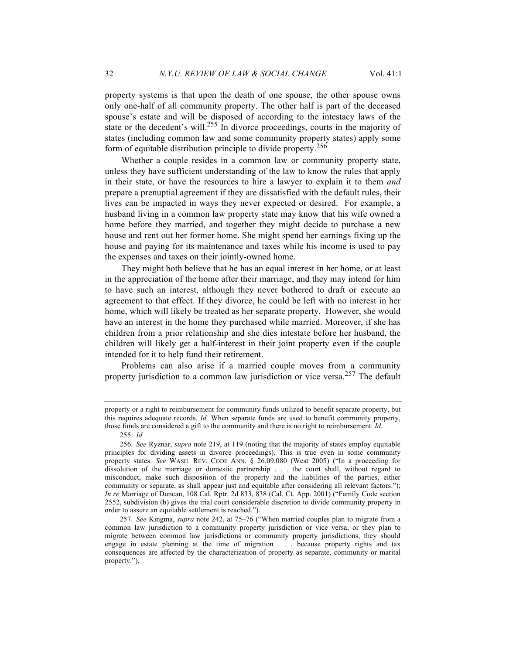property systems is that upon the death of one spouse, the other spouse owns only one-half of all community property. The other half is part of the deceased spouse's estate and will be disposed of according to the intestacy laws of the state or the decedent's will.<sup>255</sup> In divorce proceedings, courts in the majority of states (including common law and some community property states) apply some form of equitable distribution principle to divide property.<sup>256</sup>

Whether a couple resides in a common law or community property state, unless they have sufficient understanding of the law to know the rules that apply in their state, or have the resources to hire a lawyer to explain it to them *and* prepare a prenuptial agreement if they are dissatisfied with the default rules, their lives can be impacted in ways they never expected or desired. For example, a husband living in a common law property state may know that his wife owned a home before they married, and together they might decide to purchase a new house and rent out her former home. She might spend her earnings fixing up the house and paying for its maintenance and taxes while his income is used to pay the expenses and taxes on their jointly-owned home.

They might both believe that he has an equal interest in her home, or at least in the appreciation of the home after their marriage, and they may intend for him to have such an interest, although they never bothered to draft or execute an agreement to that effect. If they divorce, he could be left with no interest in her home, which will likely be treated as her separate property. However, she would have an interest in the home they purchased while married. Moreover, if she has children from a prior relationship and she dies intestate before her husband, the children will likely get a half-interest in their joint property even if the couple intended for it to help fund their retirement.

Problems can also arise if a married couple moves from a community property jurisdiction to a common law jurisdiction or vice versa.<sup>257</sup> The default

property or a right to reimbursement for community funds utilized to benefit separate property, but this requires adequate records. *Id.* When separate funds are used to benefit community property, those funds are considered a gift to the community and there is no right to reimbursement. *Id.*

<sup>255.</sup> *Id.*

<sup>256.</sup> *See* Ryznar, *supra* note 219, at 119 (noting that the majority of states employ equitable principles for dividing assets in divorce proceedings). This is true even in some community property states. *See* WASH. REV. CODE ANN. § 26.09.080 (West 2005) ("In a proceeding for dissolution of the marriage or domestic partnership . . . the court shall, without regard to misconduct, make such disposition of the property and the liabilities of the parties, either community or separate, as shall appear just and equitable after considering all relevant factors."); *In re* Marriage of Duncan, 108 Cal. Rptr. 2d 833, 838 (Cal. Ct. App. 2001) ("Family Code section 2552, subdivision (b) gives the trial court considerable discretion to divide community property in order to assure an equitable settlement is reached.").

<sup>257.</sup> *See* Kingma, *supra* note 242, at 75–76 ("When married couples plan to migrate from a common law jurisdiction to a community property jurisdiction or vice versa, or they plan to migrate between common law jurisdictions or community property jurisdictions, they should engage in estate planning at the time of migration . . . because property rights and tax consequences are affected by the characterization of property as separate, community or marital property.").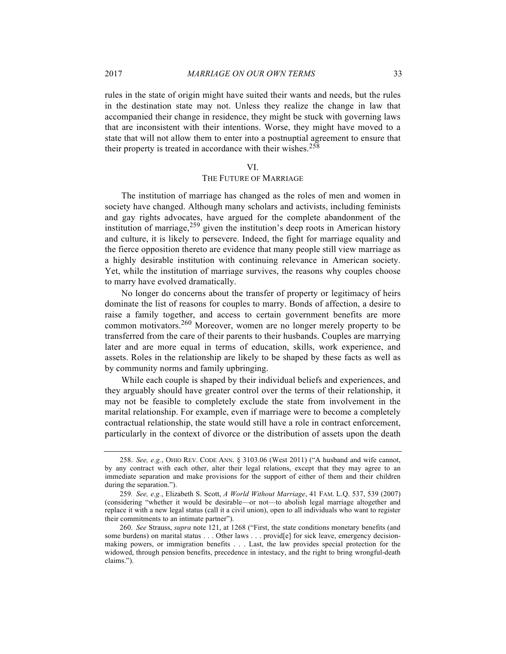rules in the state of origin might have suited their wants and needs, but the rules in the destination state may not. Unless they realize the change in law that accompanied their change in residence, they might be stuck with governing laws that are inconsistent with their intentions. Worse, they might have moved to a state that will not allow them to enter into a postnuptial agreement to ensure that their property is treated in accordance with their wishes.<sup>258</sup>

#### VI.

#### THE FUTURE OF MARRIAGE

The institution of marriage has changed as the roles of men and women in society have changed. Although many scholars and activists, including feminists and gay rights advocates, have argued for the complete abandonment of the institution of marriage,  $259$  given the institution's deep roots in American history and culture, it is likely to persevere. Indeed, the fight for marriage equality and the fierce opposition thereto are evidence that many people still view marriage as a highly desirable institution with continuing relevance in American society. Yet, while the institution of marriage survives, the reasons why couples choose to marry have evolved dramatically.

No longer do concerns about the transfer of property or legitimacy of heirs dominate the list of reasons for couples to marry. Bonds of affection, a desire to raise a family together, and access to certain government benefits are more common motivators.<sup>260</sup> Moreover, women are no longer merely property to be transferred from the care of their parents to their husbands. Couples are marrying later and are more equal in terms of education, skills, work experience, and assets. Roles in the relationship are likely to be shaped by these facts as well as by community norms and family upbringing.

While each couple is shaped by their individual beliefs and experiences, and they arguably should have greater control over the terms of their relationship, it may not be feasible to completely exclude the state from involvement in the marital relationship. For example, even if marriage were to become a completely contractual relationship, the state would still have a role in contract enforcement, particularly in the context of divorce or the distribution of assets upon the death

<sup>258.</sup> *See, e.g.*, OHIO REV. CODE ANN. § 3103.06 (West 2011) ("A husband and wife cannot, by any contract with each other, alter their legal relations, except that they may agree to an immediate separation and make provisions for the support of either of them and their children during the separation.").

<sup>259</sup>*. See, e.g.*, Elizabeth S. Scott, *A World Without Marriage*, 41 FAM. L.Q. 537, 539 (2007) (considering "whether it would be desirable—or not—to abolish legal marriage altogether and replace it with a new legal status (call it a civil union), open to all individuals who want to register their commitments to an intimate partner").

<sup>260.</sup> *See* Strauss, *supra* note 121, at 1268 ("First, the state conditions monetary benefits (and some burdens) on marital status . . . Other laws . . . provid[e] for sick leave, emergency decisionmaking powers, or immigration benefits . . . Last, the law provides special protection for the widowed, through pension benefits, precedence in intestacy, and the right to bring wrongful-death claims.").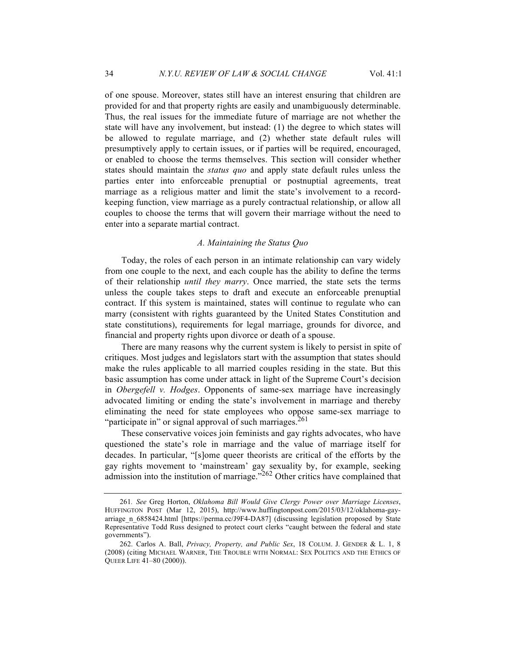of one spouse. Moreover, states still have an interest ensuring that children are provided for and that property rights are easily and unambiguously determinable. Thus, the real issues for the immediate future of marriage are not whether the state will have any involvement, but instead: (1) the degree to which states will be allowed to regulate marriage, and (2) whether state default rules will presumptively apply to certain issues, or if parties will be required, encouraged, or enabled to choose the terms themselves. This section will consider whether states should maintain the *status quo* and apply state default rules unless the parties enter into enforceable prenuptial or postnuptial agreements, treat marriage as a religious matter and limit the state's involvement to a recordkeeping function, view marriage as a purely contractual relationship, or allow all couples to choose the terms that will govern their marriage without the need to enter into a separate martial contract.

## *A. Maintaining the Status Quo*

Today, the roles of each person in an intimate relationship can vary widely from one couple to the next, and each couple has the ability to define the terms of their relationship *until they marry*. Once married, the state sets the terms unless the couple takes steps to draft and execute an enforceable prenuptial contract. If this system is maintained, states will continue to regulate who can marry (consistent with rights guaranteed by the United States Constitution and state constitutions), requirements for legal marriage, grounds for divorce, and financial and property rights upon divorce or death of a spouse.

There are many reasons why the current system is likely to persist in spite of critiques. Most judges and legislators start with the assumption that states should make the rules applicable to all married couples residing in the state. But this basic assumption has come under attack in light of the Supreme Court's decision in *Obergefell v. Hodges*. Opponents of same-sex marriage have increasingly advocated limiting or ending the state's involvement in marriage and thereby eliminating the need for state employees who oppose same-sex marriage to "participate in" or signal approval of such marriages. $^{261}$ 

These conservative voices join feminists and gay rights advocates, who have questioned the state's role in marriage and the value of marriage itself for decades. In particular, "[s]ome queer theorists are critical of the efforts by the gay rights movement to 'mainstream' gay sexuality by, for example, seeking admission into the institution of marriage."<sup>262</sup> Other critics have complained that

<sup>261</sup>*. See* Greg Horton, *Oklahoma Bill Would Give Clergy Power over Marriage Licenses*, HUFFINGTON POST (Mar 12, 2015), http://www.huffingtonpost.com/2015/03/12/oklahoma-gayarriage\_n\_6858424.html [https://perma.cc/J9F4-DA87] (discussing legislation proposed by State Representative Todd Russ designed to protect court clerks "caught between the federal and state governments").

<sup>262.</sup> Carlos A. Ball, *Privacy, Property, and Public Sex*, 18 COLUM. J. GENDER & L. 1, 8 (2008) (citing MICHAEL WARNER, THE TROUBLE WITH NORMAL: SEX POLITICS AND THE ETHICS OF QUEER LIFE 41–80 (2000)).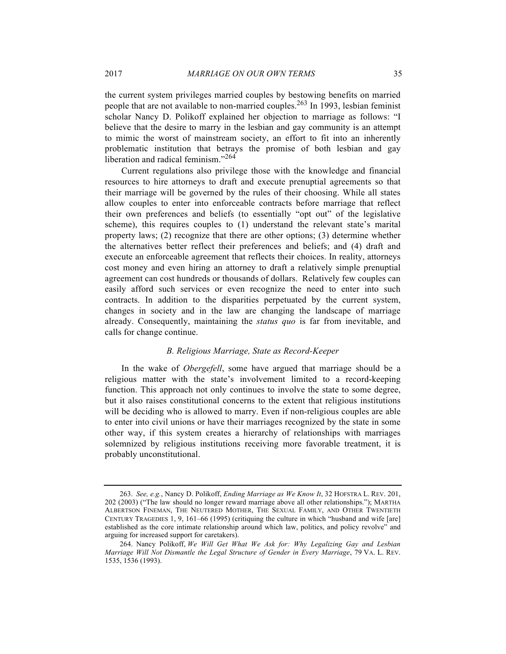the current system privileges married couples by bestowing benefits on married people that are not available to non-married couples.<sup>263</sup> In 1993, lesbian feminist scholar Nancy D. Polikoff explained her objection to marriage as follows: "I believe that the desire to marry in the lesbian and gay community is an attempt to mimic the worst of mainstream society, an effort to fit into an inherently problematic institution that betrays the promise of both lesbian and gay liberation and radical feminism."<sup>264</sup>

Current regulations also privilege those with the knowledge and financial resources to hire attorneys to draft and execute prenuptial agreements so that their marriage will be governed by the rules of their choosing. While all states allow couples to enter into enforceable contracts before marriage that reflect their own preferences and beliefs (to essentially "opt out" of the legislative scheme), this requires couples to (1) understand the relevant state's marital property laws; (2) recognize that there are other options; (3) determine whether the alternatives better reflect their preferences and beliefs; and (4) draft and execute an enforceable agreement that reflects their choices. In reality, attorneys cost money and even hiring an attorney to draft a relatively simple prenuptial agreement can cost hundreds or thousands of dollars. Relatively few couples can easily afford such services or even recognize the need to enter into such contracts. In addition to the disparities perpetuated by the current system, changes in society and in the law are changing the landscape of marriage already. Consequently, maintaining the *status quo* is far from inevitable, and calls for change continue.

## *B. Religious Marriage, State as Record-Keeper*

In the wake of *Obergefell*, some have argued that marriage should be a religious matter with the state's involvement limited to a record-keeping function. This approach not only continues to involve the state to some degree, but it also raises constitutional concerns to the extent that religious institutions will be deciding who is allowed to marry. Even if non-religious couples are able to enter into civil unions or have their marriages recognized by the state in some other way, if this system creates a hierarchy of relationships with marriages solemnized by religious institutions receiving more favorable treatment, it is probably unconstitutional.

<sup>263.</sup> *See, e.g.*, Nancy D. Polikoff, *Ending Marriage as We Know It*, 32 HOFSTRA L. REV. 201, 202 (2003) ("The law should no longer reward marriage above all other relationships."); MARTHA ALBERTSON FINEMAN, THE NEUTERED MOTHER, THE SEXUAL FAMILY, AND OTHER TWENTIETH CENTURY TRAGEDIES 1, 9, 161–66 (1995) (critiquing the culture in which "husband and wife [are] established as the core intimate relationship around which law, politics, and policy revolve" and arguing for increased support for caretakers).

<sup>264.</sup> Nancy Polikoff, *We Will Get What We Ask for: Why Legalizing Gay and Lesbian Marriage Will Not Dismantle the Legal Structure of Gender in Every Marriage*, 79 VA. L. REV. 1535, 1536 (1993).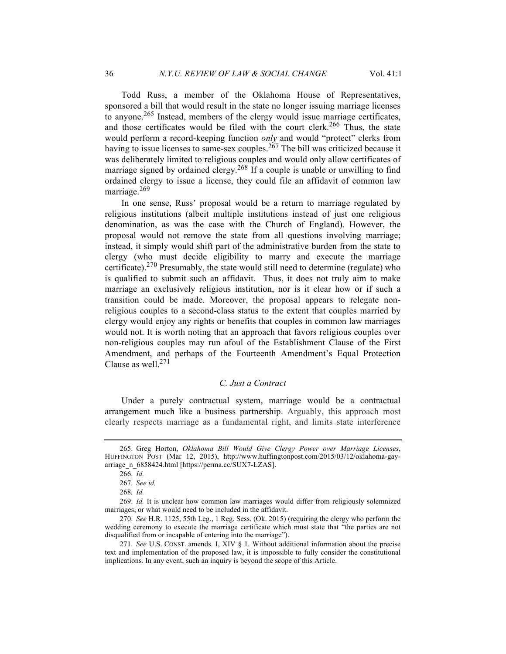Todd Russ, a member of the Oklahoma House of Representatives, sponsored a bill that would result in the state no longer issuing marriage licenses to anyone.<sup>265</sup> Instead, members of the clergy would issue marriage certificates, and those certificates would be filed with the court clerk.<sup>266</sup> Thus, the state would perform a record-keeping function *only* and would "protect" clerks from having to issue licenses to same-sex couples.<sup>267</sup> The bill was criticized because it was deliberately limited to religious couples and would only allow certificates of marriage signed by ordained clergy.<sup>268</sup> If a couple is unable or unwilling to find ordained clergy to issue a license, they could file an affidavit of common law marriage.269

In one sense, Russ' proposal would be a return to marriage regulated by religious institutions (albeit multiple institutions instead of just one religious denomination, as was the case with the Church of England). However, the proposal would not remove the state from all questions involving marriage; instead, it simply would shift part of the administrative burden from the state to clergy (who must decide eligibility to marry and execute the marriage certificate).<sup>270</sup> Presumably, the state would still need to determine (regulate) who is qualified to submit such an affidavit. Thus, it does not truly aim to make marriage an exclusively religious institution, nor is it clear how or if such a transition could be made. Moreover, the proposal appears to relegate nonreligious couples to a second-class status to the extent that couples married by clergy would enjoy any rights or benefits that couples in common law marriages would not. It is worth noting that an approach that favors religious couples over non-religious couples may run afoul of the Establishment Clause of the First Amendment, and perhaps of the Fourteenth Amendment's Equal Protection Clause as well.<sup>271</sup>

## *C. Just a Contract*

Under a purely contractual system, marriage would be a contractual arrangement much like a business partnership. Arguably, this approach most clearly respects marriage as a fundamental right, and limits state interference

<sup>265.</sup> Greg Horton, *Oklahoma Bill Would Give Clergy Power over Marriage Licenses*, HUFFINGTON POST (Mar 12, 2015), http://www.huffingtonpost.com/2015/03/12/oklahoma-gayarriage\_n\_6858424.html [https://perma.cc/SUX7-LZAS].

<sup>266.</sup> *Id.*

<sup>267.</sup> *See id.*

<sup>268</sup>*. Id.*

<sup>269.</sup> *Id.* It is unclear how common law marriages would differ from religiously solemnized marriages, or what would need to be included in the affidavit.

<sup>270.</sup> *See* H.R. 1125, 55th Leg., 1 Reg. Sess. (Ok. 2015) (requiring the clergy who perform the wedding ceremony to execute the marriage certificate which must state that "the parties are not disqualified from or incapable of entering into the marriage").

<sup>271.</sup> *See* U.S. CONST. amends. I, XIV § 1. Without additional information about the precise text and implementation of the proposed law, it is impossible to fully consider the constitutional implications. In any event, such an inquiry is beyond the scope of this Article.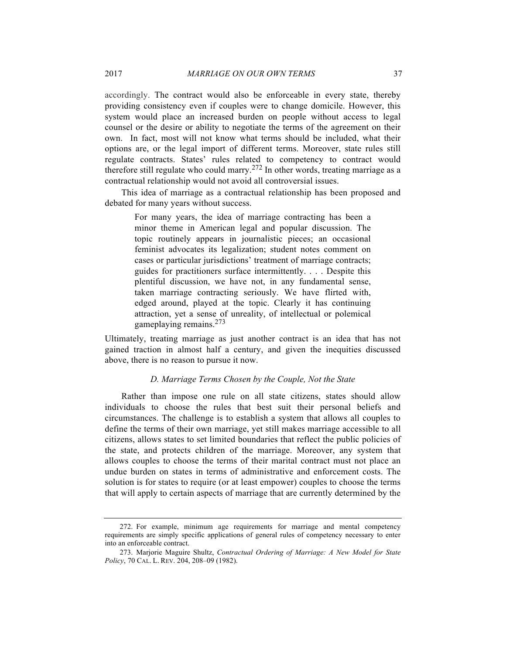accordingly. The contract would also be enforceable in every state, thereby providing consistency even if couples were to change domicile. However, this system would place an increased burden on people without access to legal counsel or the desire or ability to negotiate the terms of the agreement on their own. In fact, most will not know what terms should be included, what their options are, or the legal import of different terms. Moreover, state rules still regulate contracts. States' rules related to competency to contract would therefore still regulate who could marry.<sup>272</sup> In other words, treating marriage as a contractual relationship would not avoid all controversial issues.

This idea of marriage as a contractual relationship has been proposed and debated for many years without success.

> For many years, the idea of marriage contracting has been a minor theme in American legal and popular discussion. The topic routinely appears in journalistic pieces; an occasional feminist advocates its legalization; student notes comment on cases or particular jurisdictions' treatment of marriage contracts; guides for practitioners surface intermittently. . . . Despite this plentiful discussion, we have not, in any fundamental sense, taken marriage contracting seriously. We have flirted with, edged around, played at the topic. Clearly it has continuing attraction, yet a sense of unreality, of intellectual or polemical gameplaying remains.<sup>273</sup>

Ultimately, treating marriage as just another contract is an idea that has not gained traction in almost half a century, and given the inequities discussed above, there is no reason to pursue it now.

#### *D. Marriage Terms Chosen by the Couple, Not the State*

Rather than impose one rule on all state citizens, states should allow individuals to choose the rules that best suit their personal beliefs and circumstances. The challenge is to establish a system that allows all couples to define the terms of their own marriage, yet still makes marriage accessible to all citizens, allows states to set limited boundaries that reflect the public policies of the state, and protects children of the marriage. Moreover, any system that allows couples to choose the terms of their marital contract must not place an undue burden on states in terms of administrative and enforcement costs. The solution is for states to require (or at least empower) couples to choose the terms that will apply to certain aspects of marriage that are currently determined by the

<sup>272.</sup> For example, minimum age requirements for marriage and mental competency requirements are simply specific applications of general rules of competency necessary to enter into an enforceable contract.

<sup>273.</sup> Marjorie Maguire Shultz, *Contractual Ordering of Marriage: A New Model for State Policy*, 70 CAL. L. REV. 204, 208–09 (1982).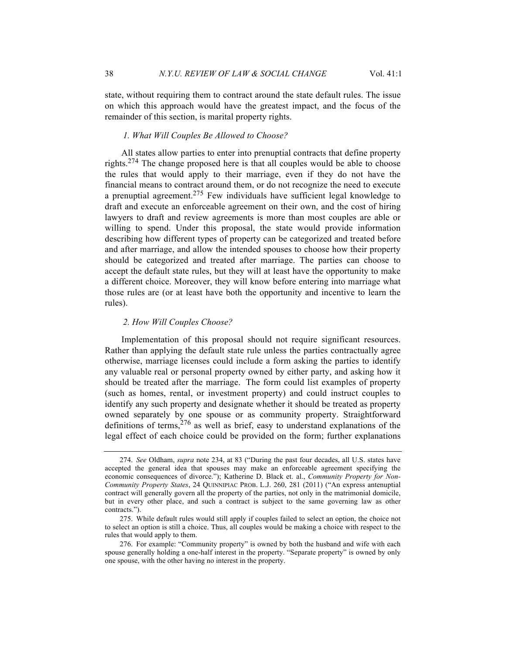state, without requiring them to contract around the state default rules. The issue on which this approach would have the greatest impact, and the focus of the remainder of this section, is marital property rights.

## *1. What Will Couples Be Allowed to Choose?*

All states allow parties to enter into prenuptial contracts that define property rights.<sup>274</sup> The change proposed here is that all couples would be able to choose the rules that would apply to their marriage, even if they do not have the financial means to contract around them, or do not recognize the need to execute a prenuptial agreement.<sup>275</sup> Few individuals have sufficient legal knowledge to draft and execute an enforceable agreement on their own, and the cost of hiring lawyers to draft and review agreements is more than most couples are able or willing to spend. Under this proposal, the state would provide information describing how different types of property can be categorized and treated before and after marriage, and allow the intended spouses to choose how their property should be categorized and treated after marriage. The parties can choose to accept the default state rules, but they will at least have the opportunity to make a different choice. Moreover, they will know before entering into marriage what those rules are (or at least have both the opportunity and incentive to learn the rules).

#### *2. How Will Couples Choose?*

Implementation of this proposal should not require significant resources. Rather than applying the default state rule unless the parties contractually agree otherwise, marriage licenses could include a form asking the parties to identify any valuable real or personal property owned by either party, and asking how it should be treated after the marriage. The form could list examples of property (such as homes, rental, or investment property) and could instruct couples to identify any such property and designate whether it should be treated as property owned separately by one spouse or as community property. Straightforward definitions of terms,  $276$  as well as brief, easy to understand explanations of the legal effect of each choice could be provided on the form; further explanations

<sup>274.</sup> *See* Oldham, *supra* note 234, at 83 ("During the past four decades, all U.S. states have accepted the general idea that spouses may make an enforceable agreement specifying the economic consequences of divorce."); Katherine D. Black et. al., *Community Property for Non-Community Property States*, 24 QUINNIPIAC PROB. L.J. 260, 281 (2011) ("An express antenuptial contract will generally govern all the property of the parties, not only in the matrimonial domicile, but in every other place, and such a contract is subject to the same governing law as other contracts.").

<sup>275.</sup> While default rules would still apply if couples failed to select an option, the choice not to select an option is still a choice. Thus, all couples would be making a choice with respect to the rules that would apply to them.

<sup>276.</sup> For example: "Community property" is owned by both the husband and wife with each spouse generally holding a one-half interest in the property. "Separate property" is owned by only one spouse, with the other having no interest in the property.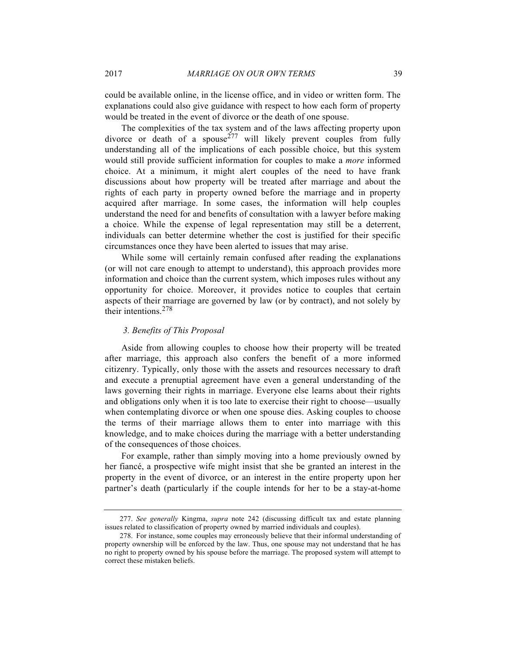could be available online, in the license office, and in video or written form. The explanations could also give guidance with respect to how each form of property would be treated in the event of divorce or the death of one spouse.

The complexities of the tax system and of the laws affecting property upon divorce or death of a spouse<sup>277</sup> will likely prevent couples from fully understanding all of the implications of each possible choice, but this system would still provide sufficient information for couples to make a *more* informed choice. At a minimum, it might alert couples of the need to have frank discussions about how property will be treated after marriage and about the rights of each party in property owned before the marriage and in property acquired after marriage. In some cases, the information will help couples understand the need for and benefits of consultation with a lawyer before making a choice. While the expense of legal representation may still be a deterrent, individuals can better determine whether the cost is justified for their specific circumstances once they have been alerted to issues that may arise.

While some will certainly remain confused after reading the explanations (or will not care enough to attempt to understand), this approach provides more information and choice than the current system, which imposes rules without any opportunity for choice. Moreover, it provides notice to couples that certain aspects of their marriage are governed by law (or by contract), and not solely by their intentions.<sup>278</sup>

#### *3. Benefits of This Proposal*

Aside from allowing couples to choose how their property will be treated after marriage, this approach also confers the benefit of a more informed citizenry. Typically, only those with the assets and resources necessary to draft and execute a prenuptial agreement have even a general understanding of the laws governing their rights in marriage. Everyone else learns about their rights and obligations only when it is too late to exercise their right to choose—usually when contemplating divorce or when one spouse dies. Asking couples to choose the terms of their marriage allows them to enter into marriage with this knowledge, and to make choices during the marriage with a better understanding of the consequences of those choices.

For example, rather than simply moving into a home previously owned by her fiancé, a prospective wife might insist that she be granted an interest in the property in the event of divorce, or an interest in the entire property upon her partner's death (particularly if the couple intends for her to be a stay-at-home

<sup>277.</sup> *See generally* Kingma, *supra* note 242 (discussing difficult tax and estate planning issues related to classification of property owned by married individuals and couples).

<sup>278.</sup> For instance, some couples may erroneously believe that their informal understanding of property ownership will be enforced by the law. Thus, one spouse may not understand that he has no right to property owned by his spouse before the marriage. The proposed system will attempt to correct these mistaken beliefs.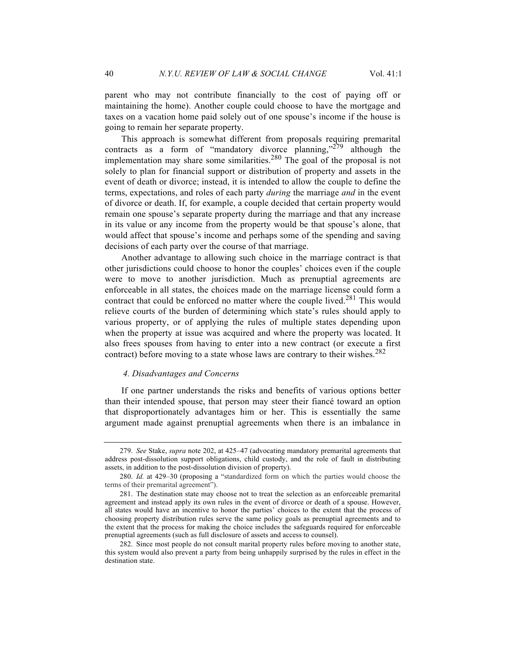parent who may not contribute financially to the cost of paying off or maintaining the home). Another couple could choose to have the mortgage and taxes on a vacation home paid solely out of one spouse's income if the house is going to remain her separate property.

This approach is somewhat different from proposals requiring premarital contracts as a form of "mandatory divorce planning," $279$  although the implementation may share some similarities.<sup>280</sup> The goal of the proposal is not solely to plan for financial support or distribution of property and assets in the event of death or divorce; instead, it is intended to allow the couple to define the terms, expectations, and roles of each party *during* the marriage *and* in the event of divorce or death. If, for example, a couple decided that certain property would remain one spouse's separate property during the marriage and that any increase in its value or any income from the property would be that spouse's alone, that would affect that spouse's income and perhaps some of the spending and saving decisions of each party over the course of that marriage.

Another advantage to allowing such choice in the marriage contract is that other jurisdictions could choose to honor the couples' choices even if the couple were to move to another jurisdiction. Much as prenuptial agreements are enforceable in all states, the choices made on the marriage license could form a contract that could be enforced no matter where the couple lived.<sup>281</sup> This would relieve courts of the burden of determining which state's rules should apply to various property, or of applying the rules of multiple states depending upon when the property at issue was acquired and where the property was located. It also frees spouses from having to enter into a new contract (or execute a first contract) before moving to a state whose laws are contrary to their wishes.<sup>282</sup>

#### *4. Disadvantages and Concerns*

If one partner understands the risks and benefits of various options better than their intended spouse, that person may steer their fiancé toward an option that disproportionately advantages him or her. This is essentially the same argument made against prenuptial agreements when there is an imbalance in

<sup>279.</sup> *See* Stake, *supra* note 202, at 425–47 (advocating mandatory premarital agreements that address post-dissolution support obligations, child custody, and the role of fault in distributing assets, in addition to the post-dissolution division of property).

<sup>280.</sup> *Id.* at 429–30 (proposing a "standardized form on which the parties would choose the terms of their premarital agreement").

<sup>281.</sup> The destination state may choose not to treat the selection as an enforceable premarital agreement and instead apply its own rules in the event of divorce or death of a spouse. However, all states would have an incentive to honor the parties' choices to the extent that the process of choosing property distribution rules serve the same policy goals as prenuptial agreements and to the extent that the process for making the choice includes the safeguards required for enforceable prenuptial agreements (such as full disclosure of assets and access to counsel).

<sup>282.</sup> Since most people do not consult marital property rules before moving to another state, this system would also prevent a party from being unhappily surprised by the rules in effect in the destination state.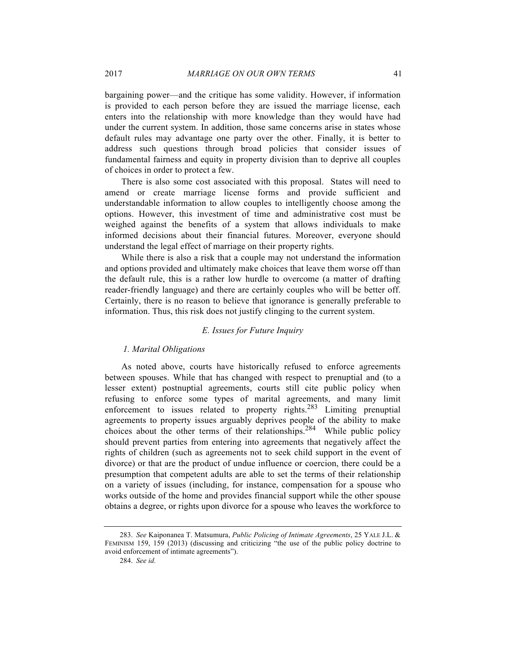bargaining power—and the critique has some validity. However, if information is provided to each person before they are issued the marriage license, each enters into the relationship with more knowledge than they would have had under the current system. In addition, those same concerns arise in states whose default rules may advantage one party over the other. Finally, it is better to address such questions through broad policies that consider issues of fundamental fairness and equity in property division than to deprive all couples of choices in order to protect a few.

There is also some cost associated with this proposal. States will need to amend or create marriage license forms and provide sufficient and understandable information to allow couples to intelligently choose among the options. However, this investment of time and administrative cost must be weighed against the benefits of a system that allows individuals to make informed decisions about their financial futures. Moreover, everyone should understand the legal effect of marriage on their property rights.

While there is also a risk that a couple may not understand the information and options provided and ultimately make choices that leave them worse off than the default rule, this is a rather low hurdle to overcome (a matter of drafting reader-friendly language) and there are certainly couples who will be better off. Certainly, there is no reason to believe that ignorance is generally preferable to information. Thus, this risk does not justify clinging to the current system.

## *E. Issues for Future Inquiry*

## *1. Marital Obligations*

As noted above, courts have historically refused to enforce agreements between spouses. While that has changed with respect to prenuptial and (to a lesser extent) postnuptial agreements, courts still cite public policy when refusing to enforce some types of marital agreements, and many limit enforcement to issues related to property rights.<sup>283</sup> Limiting prenuptial agreements to property issues arguably deprives people of the ability to make choices about the other terms of their relationships.<sup>284</sup> While public policy should prevent parties from entering into agreements that negatively affect the rights of children (such as agreements not to seek child support in the event of divorce) or that are the product of undue influence or coercion, there could be a presumption that competent adults are able to set the terms of their relationship on a variety of issues (including, for instance, compensation for a spouse who works outside of the home and provides financial support while the other spouse obtains a degree, or rights upon divorce for a spouse who leaves the workforce to

<sup>283.</sup> *See* Kaiponanea T. Matsumura, *Public Policing of Intimate Agreements*, 25 YALE J.L. & FEMINISM 159, 159 (2013) (discussing and criticizing "the use of the public policy doctrine to avoid enforcement of intimate agreements").

<sup>284.</sup> *See id.*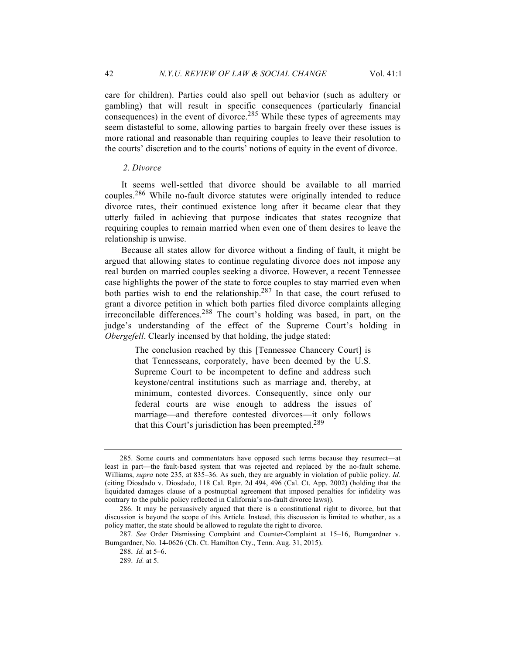care for children). Parties could also spell out behavior (such as adultery or gambling) that will result in specific consequences (particularly financial consequences) in the event of divorce.<sup>285</sup> While these types of agreements may seem distasteful to some, allowing parties to bargain freely over these issues is more rational and reasonable than requiring couples to leave their resolution to the courts' discretion and to the courts' notions of equity in the event of divorce.

## *2. Divorce*

It seems well-settled that divorce should be available to all married couples.286 While no-fault divorce statutes were originally intended to reduce divorce rates, their continued existence long after it became clear that they utterly failed in achieving that purpose indicates that states recognize that requiring couples to remain married when even one of them desires to leave the relationship is unwise.

Because all states allow for divorce without a finding of fault, it might be argued that allowing states to continue regulating divorce does not impose any real burden on married couples seeking a divorce. However, a recent Tennessee case highlights the power of the state to force couples to stay married even when both parties wish to end the relationship.<sup>287</sup> In that case, the court refused to grant a divorce petition in which both parties filed divorce complaints alleging irreconcilable differences.288 The court's holding was based, in part, on the judge's understanding of the effect of the Supreme Court's holding in *Obergefell*. Clearly incensed by that holding, the judge stated:

> The conclusion reached by this [Tennessee Chancery Court] is that Tennesseans, corporately, have been deemed by the U.S. Supreme Court to be incompetent to define and address such keystone/central institutions such as marriage and, thereby, at minimum, contested divorces. Consequently, since only our federal courts are wise enough to address the issues of marriage—and therefore contested divorces—it only follows that this Court's jurisdiction has been preempted.<sup>289</sup>

<sup>285.</sup> Some courts and commentators have opposed such terms because they resurrect—at least in part—the fault-based system that was rejected and replaced by the no-fault scheme. Williams, *supra* note 235, at 835–36. As such, they are arguably in violation of public policy. *Id.*  (citing Diosdado v. Diosdado, 118 Cal. Rptr. 2d 494, 496 (Cal. Ct. App. 2002) (holding that the liquidated damages clause of a postnuptial agreement that imposed penalties for infidelity was contrary to the public policy reflected in California's no-fault divorce laws)).

<sup>286.</sup> It may be persuasively argued that there is a constitutional right to divorce, but that discussion is beyond the scope of this Article. Instead, this discussion is limited to whether, as a policy matter, the state should be allowed to regulate the right to divorce.

<sup>287.</sup> *See* Order Dismissing Complaint and Counter-Complaint at 15–16, Bumgardner v. Bumgardner, No. 14-0626 (Ch. Ct. Hamilton Cty., Tenn. Aug. 31, 2015).

<sup>288.</sup> *Id.* at 5–6.

<sup>289.</sup> *Id.* at 5.